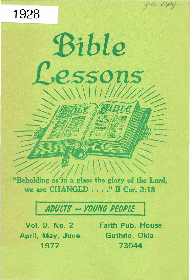

 $\|$ |  $\|$ 

Bible

essons

**RIBLE** 

# **ADULTS -- YOUNG PEOPLE**

Vol. 9, No. 2 April, May, June 1977

1928

**Faith Pub. House** Guthrie, Okla. 73044

file copy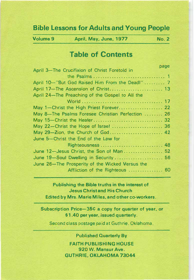# Bible Lessons for Adults and Young People

Volume 9 April, May, June, 1977 No.2

# Table of Contents

|                                                   | page |
|---------------------------------------------------|------|
| April 3-The Crucifixion of Christ Foretold in     |      |
|                                                   |      |
| April 10-"But God Raised Him From the Deadl" 7    |      |
|                                                   |      |
| April 24-The Preaching of the Gospel to All the   |      |
|                                                   |      |
| May 1-Christ the High Priest Forever 22           |      |
| May 8-The Psalms Foresee Christian Perfection  26 |      |
|                                                   |      |
| May 22-Christ the Hope of Israel  36              |      |
| May 29-Zion, the Church of God 42                 |      |
| June 5-Christ the End of the Law for              |      |
| Righteousness  48                                 |      |
| June 12-Jesus Christ, the Son of Man 52           |      |
| June 19-Soul Dwelling in Security  56             |      |
| June 26-The Prosperity of the Wicked Versus the   |      |
| Affliction of the Righteous  60                   |      |
|                                                   |      |

# Publishing the Bible truths in the interest of Jesus Christ and His Church Edited by Mrs. Marie Miles, and other co-workers.

Subscription Price-35¢ a copy for quarter of year, or \$1.40 per year, issued quarterly.

Second class postage paid at Guthrie, Oklahoma.

# Published Quarterly By

FAITH PUBLISHING HOUSE 920 W. Mansur Ave. GUTHRIE, OKLAHOMA 73044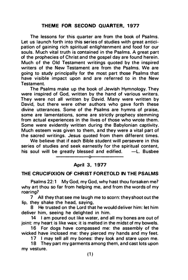# THEME FOR SECOND QUARTER, 1977

The lessons for this quarter are from the book of Psalms. Let us launch forth into this series of studies with great anticipation of gaining rich spiritual enlightenment and food for our souls. Much vital truth is contained in the Psalms. A great part of the prophecies of Christ and the gospel day are found herein. Much of the Old Testament writings quoted by the inspired writers of the New Testament are from the Psalms. We are going to study principally for the most part those Psalms that have visible impact upon and are referred to in the New Testament.

The Psalms make up the book of Jewish Hymnology. They were inspired of God, written by the hand of various writers. They were not all written by David. Many were written by David, but there were other authors who gave forth these divine utterances. Some of the Psalms are hymns of praise, some are lamentations, some are strictly prophecy stemming from actual experiences in the lives of those who wrote them. Some were evidently written during the Babylonian captivity. Much esteem was given to them, and they were a vital part of the sacred writings. Jesus quoted from them different times.

We believe that if each Bible student will persevere in this series of studies and seek earnestly for the spiritual content, his soul will be greatly blessed and d Busbee

# April 3, 1977

--------

----------- o---

#### THE CRUCIFIXION OF CHRIST FORETOLD IN THE PSALMS

Psalms 22:1 My God, my God, why hast thou forsaken me? why art thou so far from helping me, and from the words of my roaring?

7 All they that see me laugh me to scorn: they shoot out the lip, they shake the head, saying,

8 He trusted on the Lord that he would del iver him: let him deliver him, seeing he delighted in him.

14 I am poured out like water, and all my bones are out of joint: my heart is like wax; it is melted in the midst of my bowels.

16 For dogs have compassed me: the assembly of the wicked have inclosed me: they pierced my hands and my feet.

17 I may tell all my bones: they look and stare upon me.

18 They part my garments among them, a nd cast lots upon my vesture.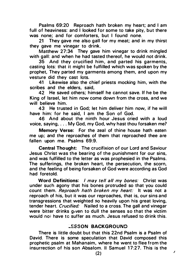Psalms 69:20 Reproach hath broken my heart; and I am full of heaviness: and I looked for some to take pity, but there was none; and for comforters, but I found none.

21 They gave me also gall for my meat; and in my thirst they gave me vinegar to drink.

Matthew 27:34 They gave him vinegar to drink mingled with gall: and when he had tasted thereof, he would not drink.

35 And they crucified him, and parted his garments, casting lots: that it might be fulfilled which was spoken by the prophet, They parted my garments among them, and upon my vesture did they cast lots.

41 Likewise also the chief priests mocking him, with the scribes and the elders, said,

42 He saved others; himself he cannot save. If he be the King of Israel, let him now come down from the cross, and we will believe him.

43 He trusted in God; let him deliver him now, if he will have him: for he said, I am the Son of God.

46 And about the ninth hour Jesus cried with a loud voice, saying, ... My God, my God, why hast thou forsaken me?

Memory Verse: For the zeal of thine house hath eaten me up; and the reproaches of them that reproached thee are fallen upon me. Psalms 69:9.

Central Thought: The crucifixion of our Lord and Saviour Jesus Christ was the bearing of the punishment for our sins, and was fulfilled to the letter as was prophesied in the Psalms. The sufferings, the broken heart, the persecution, the scorn, and the feeling of being forsaken of God were according as God had foretold.

Word Definitions: I may tell all my bones: Christ was under such agony that his bones protruded so that you could count them. Reproach hath broken my heart: It was not a reproach of his, but it was our reproaches, that is, our sins and transgressions that weighted so heavily upon his great loving, tender heart. Crucified: Nailed to a cross. The gall and vinegar were bitter drinks given to dull the senses so that the victim would noi have to suffer as much. Jesus refused to drink this.

### **LESSON BACKGROUND**

There is little doubt but that this 22nd Psalm is a Psalm of David. There is some speculation that David composed this prophetic psalm at Mahanaim, where he went to flee from the insurrection of his son Absalom. II Samuel 17:27. This is the

 $\lambda$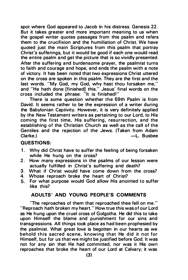spot where God appeared to Jacob in his distress. Genesis 22. But it takes greater and more important meaning to us when the gospel writer quotes passages from this psalm and refers them to the crucifixion and the humiliation of Christ. We have quoted just the main Scriptures from this psalm that portray Christ's sufferings, but it would be good if each one would read the entire psalm and get the picture that is so vividly presented. After the suffering and burdensome prayer, the psalmist turns to faith and courage and hope, and ends the psalm with a note of victory. It has been noted that two expressions Christ uttered on the cross are spoken in this psalm. They are the first and the last words. "My God, my God, why hast thou forsaken me," and "He hath done [finished] this." Jesus' final words on the cross included the phrase: "It is finished!"

There is some question whether the 69th Psalm is from David. It seems rather to be the expression of a writer during the Babylonian Captivity. However, it is very definitely applied by the New Testament writers as pertaining to our Lord, to His coming the first time, His suffering, resurrection, and the establishing of the Christian Church as well as the call of the Gentiles and the rejection of the Jews. (Taken from Adam<br>Clarke.) — — Clarke.)  $-L.$  Busbee

### QUESTIONS:

- 1. Why did Christ have to suffer the feeling of being forsaken while He hung on the cross?
- 2. How many expressions in the psalms of our lesson were actually fulfilled in Christ's suffering and death?
- 3. What if Christ would have come down from the cross?
- 4. Whose reproach broke the heart of Christ?
- 5. For what purpose would God allow His anointed to suffer like this?

# ADULTS' AND YOUNG PEOPLE'S COMMENTS

"The reproaches of them that reproached thee fell on me." "Reproach hath broken my heart." How true this was of our Lord as He hung upon the cruel cross of Golgotha. He did this to take upon Himself the blame and punishment for our sins and transgressions. All things took place as had been prophesied by the psalmist. What great love is begotten in our hearts as we behold this sacred scene, knowing that He did it not for Himself, but for us that we might be justified before God. It was not for any sin that He had committed, nor was it His own reproaches that broke the heart of our Lord at Calvary; it was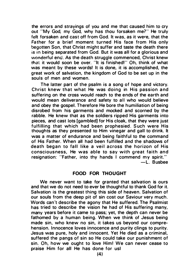the errors and strayings of you and me that caused him to cry out "My God, my God, why has thou forsaken me?" He truly felt forsaken and cast off from God. It was, as it were, that the Father for a brief moment turned His face from His only begotten Son, that Christ might suffer and taste the death there is in being separated from God. But it was all for a glorious and wonderful end. As the death struggle commenced, Christ knew that it would soon be over. "It is finished! " Oh, think of what was meant by these words! It is done, it is accomplished, the great work of salvation, the kingdom of God to be set up in the souls of men and women.

The latter part of the psalm is a song of hope and victory. Christ knew that what He was doing in His passion and suffering on the cross would reach to the ends of the earth and would mean deliverance and safety to all who would believe and obey the gospel. Therefore He bore the humiliation of being disrobed from his garments and mocked and scorned by the rabble. He knew that as the soldiers ripped His garments into pieces, and cast Jots [gambled] for His cloak, that they were just fulfilling that which had been prophesied. Such were His thoughts as they presented to Him vinegar and gall to drink. It was a matter of endurance and being faithful to the command of His Father. When all had been fulfilled and the shadows of death began to fall like a veil across the horizon of His consciousness. He was able to say with great faith and resignation: "Father, into thy hands I commend my spirit." -L. Busbee

#### FOOD FOR THOUGHT

We never want to take for granted that salvation is ours and that we do not need to ever be thoughtful to thank God for it. Salvation is the greatest thing this side of heaven. Salvation of our souls from the deep pit of sin cost our Saviour very much. Words can 't describe the agony that He suffered. The Psalmist has tried to describe the vision he had of His suffering many, many years before it came to pass; yet, the depth can never be fathomed by a human being. When we think of Jesus being made sin, who knew no sin, it takes us beyond our comprehension. Innocence loves innocence and purity clings to purity. Jesus was pure, holy and innocent. Yet He died as a criminal, suffered the pangs of sin so He could take our punishment of sin. Oh, how we ought to love Him! We can never cease to praise Him for all He has done for usl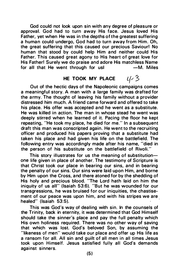God could not look upon sin with any degree of pleasure or approval. God had to turn away His face. Jesus loved His Father, yet when He was in the depths of the greatest suffering a human could undergo, God had to turn away from Him. Oh, the great suffering that this caused our precious Saviour! No human that stood by could help Him and neither could His Father. This caused great agony to His heart of great love for His Father! Surely we do praise and adore His matchless Name for all that He went through for usl

#### $4/3$ HE TOOK MY PLACE

Out of the hectic days of the Napoleonic campaigns comes a meaningful story. A man with a large family was drafted for the army. The thought of leaving his family without a provider distressed him much. A friend came forward and offered to take his place. His offer was accepted and he went as a substitute. He was killed in action. The man in whose stead he went was deeply stirred when he learned of it. Pacing the floor he kept repeating, "He took my place, he died for me." In a subsequent draft this man was conscripted again. He went to the recruiting officer and produced his papers proving that a substitute had taken his place and had given his life on the battlefield. The following entry was accordingly made after his name, "died in the person of his substitute on the battlefield of Rivoli."

This story illustrates for us the meaning of substitutionone life given in place of another. The testimony of Scripture is that Christ took our place in bearing our sins, and in bearing the penalty of our sins. Our sins were laid upon Him, and borne by Him upon the Cross, a nd there atoned for by the shedding of His holy and precious blood. "The Lord hath laid on him the iniquity of us all" (Isaiah 53:6). "But he was wounded for our transgressions, he was bruised for our iniquities, the chastisement of our peace was upon him, and with his stripes we are healed" (Isaiah 53:5).

This was God's way of dealing with sin. In the counsels of the Trinity, back in eternity, it was determined that God Himself should take the sinner's place and pay the full penalty which His own holiness required. There was no other way of saving that which was lost. God's beloved Son, by assuming the "likeness of men" would take our place and offer up His life as a ransom for all. All sin and guilt of all men in all times Jesus took upon Himself. Jesus satisfied fully all God's demands against sinners.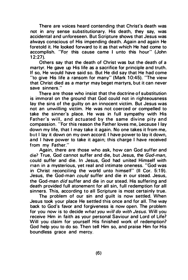There are voices heard contending that Christ's death was not in any sense substitutionary. His death, they say, was accidental and unforeseen. But Scripture shows that Jesus was always conscious of His impending death. Again and again He foretold it. He looked forward to it as that which He had come to accomplish. "For this cause came I unto this hour" (John  $12:27$ ).

Others say that the death of Christ was but the death of a martyr. He gave up His life as a sacrifice for principle and truth. If so, He would have said so. But He did say that He had come "to give His life a ransom for many" (Mark 10:45). "The view that Christ died as a martyr may beget martyrs, but it can never save sinners."

There are those who insist that the doctrine of substitution is immoral on the ground that God could not in righteousness lay the sins of the guilty on an innocent victim. But Jesus was not an unwilling victim. He was not coerced or compelled to take the sinner's place. He was in full sympathy with His Father's will, and actuated by the same divine pity and compassion. "For this reason the Father loves me, because I lay down my life, that I may take it again. No one takes it from me, but I lay it down on my own accord. I have power to lay it down, and I have power to take it again; this charge I have received from my Father."

Again, there are those who ask, how can God suffer and die? True, God cannot suffer and die, but Jesus, the God-man, could suffer and die. In Jesus, God had united Himself with man in a mysterious, yet real and intimate oneness. "God was in Christ reconciling the world unto himself" (II Cor. 5:19). Jesus, the God-man could suffer and die in our stead. Jesus, the God-man *did* suffer and die in our stead. His suffering and death provided full atonement for all sin, full redemption for all sinners. This, according to all Scripture is most certainly true.

The problem of our sin and guilt is now settled. When Jesus took your place He settled this once and for all. The way back to God's favor and forgiveness is now open. The problem for you now is to decide what you will do with Jesus. Will you receive Him in faith as your personal Saviour and Lord of Life? Will you claim for yourself His finished work of redemption? God help you to do so. Then tell Him so, and praise Him for His boundless grace and mercy.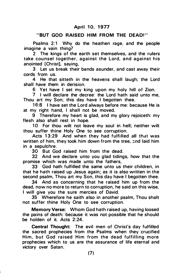# April 10, 1977

#### "BUT GOD RAISED HIM FROM THE DEAD!"

Psalms 2:1 Why do the heathen rage, and the people imagine a vain thing?

2 The kings of the earth set themselves, and the rulers take counsel together, against the Lord, and against his anointed [Christ], saying,

3 Let us break their bands asunder, and cast away their cords from us.

4 He that sitteth in the heavens shall laugh; the Lord shall have them in derision.

6 Yet have I set my king upon my holy hill of Zion.

7 I will declare the decree: the Lord hath said unto me, Thou art my Son; this day have I begotten thee.

16:8 I have set the Lord always before me: because He is at my right hand, I shall not be moved.

9 Therefore my heart is glad, and my glory rejoiceth: my flesh also shall rest in hope.

10 For thou wilt not leave my soul in hell; neither wilt thou suffer thine Holy One to see corruption.

Acts 13:29 And when they had fulfilled all that was written of him, they took him down from the tree, and laid him in a sepulchre.

30 But God raised him from the dead.

32 And we declare unto you glad tidings, how that the promise which was made unto the fathers,

33 God hath fulfilled the same unto us their children, in that he hath raised up Jesus again; as it is also written in the second psalm, Thou art my Son, this day have I begotten thee.

34 And as concerning that he raised him up from the dead, now no more to return to corruption, he said on this wise, I will give you the sure mercies of David.

35 Wherefore he saith also in another psalm, Thou shalt not suffer thine Holy One to see corruption.

Memory Verse: Whom God hath raised up, having loosed the pains of death: because it was not possible that he should be holden of it. Acts 2:24.

Central Thought: The evil men of Christ's day fulfilled the sacred prophecies from the Psalms when they crucified Him, but God raised Him from the dead fulfilling more prophecies which to us are the assurance of life eternal and victory over Satan.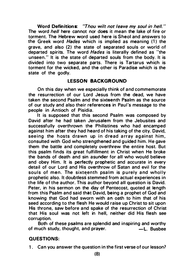Word Definitions: "Thou wilt not leave my soul in hell." The word *hell* here cannot nor does it mean the lake of fire or torment. The Hebrew word used here is Sheol and answers to the Greek word *Hades* which is implied as meaning (1) the grave, and also (2) the state of separated souls or world of departed spirits. The word Hades is literally defined as "the unseen." It is the state of departed souls from the body. It is divided into two separate parts. There is Tartarus which is torment for the wicked, and the other is Paradise which is the state of the godly.

#### LESSON BACKGROUND

On this day when we especially think of and commemorate the resurrection of our Lord Jesus from the dead, we have taken the second Psalm and the sixteenth Psalm as the source of our study and a lso their references in Paul's message to the people in Antioch of Pisidia.

It is supposed that this second Psalm was composed by David after he had taken Jerusalem from the Jebusites and successfully overthrown the Philistines who had encamped against him after they had heard of his taking of the city. David, seeing the hosts drawn up in dread array against him, consulted with God who strengthened and guided him. He gave them the battle and completely overthrew the entire host. But this psalm finds its great fulfillment in Christ when He broke the bands of death and sin asunder for all who would believe and obey Him. It is perfectly prophetic and accurate in every detail of our Lord and His overthrow of Satan and evil for the souls of men. The sixteenth psalm is purely and wholly prophetic also. It doubtless stemmed from actual experiences in the life of the author. This author beyond all question is David. Peter, in his sermon on the day of Pentecost, quoted at length from this Psalm and said that David, being a prophet of God and knowing that God had sworn with an oath to him that of his seed according to the flesh He would raise up Christ to sit upon His throne, saw before and spake of the resurrection of Christ that His soul was not left in hell, neither did His flesh see corruption.

Both of these psalms are splendid and inspiring and worthy of much study, thought, and prayer. - The Bushee

#### QUESTIONS:

1. Can you answer the question in the first verse of our lesson?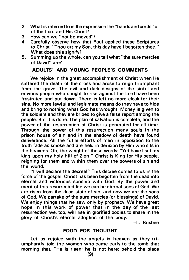- 2. What is referred to in the expression the "bands and cords" of of the Lord and His Christ?
- 3. How can we "not be moved"?<br>4. Carefully observe how that P
- Carefully observe how that Paul applied these Scriptures to Christ. "Thou art my Son, this day have I begotten thee." What does this signify?
- 5. Summing up the whole, can you tell what "the sure mercies of David" are?

# ADULTS' AND YOUNG PEOPLE'S COMMENTS

We rejoice in the great accomplishment of Christ when He suffered the death of the cross and arose to reign triumphant from the grave. The evil and dark designs of the sinful and envious people who sought to rise against the Lord have been frustrated and put down. There is left no more cloak for their sins. No more lawful and legitimate means do they have to hide and bring to nothing what God has wrought. Money is given to the soldiers and they are bribed to give a false report among the people. But it is done. The plan of salvation is complete, and the power of the resurrection of Christ is generated for all time. Through the power of this resurrection many souls in the prison house of sin and in the shadow of death have found deliverance. All the futile efforts of men in opposition to the truth fade as smoke and are held in derision by Him who sits in the heavens. Oh, the weight of these words: "Yet have I set my king upon my holy hill of Zion. " Christ is King for His people, reigning for them and within them over the powers of sin and the world.

"I will declare the decree!" This decree comes to us in the force of the gospel. Christ has been begotten from the dead into eternal and victorious sonship with God. By the power and merit of this resurrected life we can be eternal sons of God. We are risen from the dead state of sin, and now we are the sons of God. We partake of the sure mercies (or blessings) of David. We enjoy things that he saw only by prophecy. We have great hope in this work of power that in the day of the last resurrection we, too, will rise in glorified bodies to share in the glory of Christ's eternal adoption of the body.

-L. Busbee

# FOOD FOR THOUGHT

Let us rejoice with the angels in heaven as they triumphantly told the women who came early to the tomb that morning that. "He is risen; he is not here: behold the place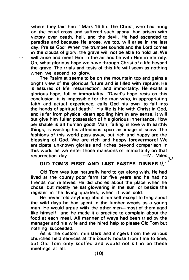where they laid him." Mark 16:6b. The Christ, who had hung on the cruel cross and suffered such agony, had arisen with victory over death, hell, and the devil. He had ascended to paradise and because He arose, we too, will arise in the last day. Praise God! When the trumpet sounds and the Lord comes in the clouds of glory, the grave will not be able to hold us. We  $-$  will arise and meet Him in the air and be with Him in eternity. Oh, what glorious hope we have through Christ of a life beyond the grave. The trials and tests of this life will seem as nothing when we ascend to glory.

The Psalmist seems to be on the mountain top and gains a bright view of the glorious future and is filled with rapture. He is assured of life, resurrection, and immortality. He exalts a glorious hope, full of immortality. "David's hope rests on this conclusion: it is impossible for the man who, in appropriating faith and actual experience, calls God his own, to fall into the hands of spiritual death." His life is hid with Christ in God, and is far from physical death spoiling him in any sense; it will but give him fuller possession of his glorious inheritance. How perishable is all human good! Man, falling in love with earthly things, is wasting his affections upon an image of snow. The fashions of this world pass away, but rich and happy are the blessing of God. We are rich and happy forevermore! We anticipate unknown glories a nd riches beyond comparison in this world as we enter those mansions of immortality on that resurrection day.  $-M$ . Miles  $\bigcap$ 

# OLD TOM'S FIRST AND LAST EASTER DINNER  $\mathbf{U}^{\,\prime}$

Old Tom was just naturally hard to get along with. He had lived at the county poor farm for five years and he had no friends nor relatives. He did chores about the place when he chose, but mostly he sat glowering in the sun, or beside the register in the living quarters, when it was cold.

He never told anything about himself except to brag about the wild days he had spent in the lumber woods as a young man. He would argue with the other men-most of them aged like himself-and he made it a practice to complain about the food at each meal. All manner of ways had been tried by the manager and his wife and the hired help to please Old Tom but nothing succeeded.

As is the custom. ministers and singers from the various churches held services at the county house from time to time, but Old Tom only scoffed and would not sit in on these meetings at all.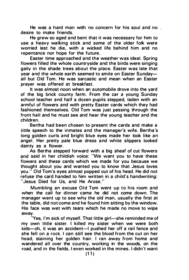He was a hard man with no concern for his soul and no desire to make friends.

He grew so aged a nd bent that it was necessary for him to use a heavy walking stick and some of the older folk were worried lest he die, with a wicked life behind him and no repentance nor hope for the future.

Easter time approached a nd the weather was ideal. Spring flowers filled the whole countryside and the birds were singing gaily in the shade trees about the place. Easter was late that year and the whole earth seemed to smile on Easter Sundayall but Old Tom. He was sarcastic and mean when an Easter prayer was offered at breakfast.

It was almost noon when an automobile drove into the vard of the big brick county farm. From the car a young Sunday school teacher and half a dozen pupils stepped, laden with an armful of flowers and with pretty Easter cards which they had fashioned themselves. Old Tom was just passing through the front hall and he must see and hear the young teacher and the chi ldren.

Bertha had been chosen to present the cards and make a little speech to the inmates and the manager's wife. Bertha's long golden curls and bright blue eyes made her look like an angel. Her pretty pale blue dress and white slippers looked dainty as a flower.

As Bertha stepped forward with a big sheaf of cut flowers and said in her childish voice: "We want you to have these flowers and these cards which we made for you because we thought about you and wanted you to know that Jesus loves you." Old Tom's eyes almost popped out of his head. He did not refuse the card handed to him written in a child's handwriting: "Jesus Died for Us, and He Arose."

Mumbling an excuse Old Tom went up to his room and when the call for dinner came he did not come down. The manager went up to see why the old man, usually the first at the table, did not come and he found him sitting by the window. His face was wet with tears which he made no move to wipe away.

'Yes, I'm sick of myself. That little girl-she reminded me of my own little sister. I killed my sister when we were both kids-oh, it was an accident-I pushed her off a rail fence and she fell on a rock. I can still see the blood from the cut on her head. staining her golden hair. I ran away from home and wandered all over the country, working in the woods, on the road, and in the fields, I even worked in the mines. I didn't want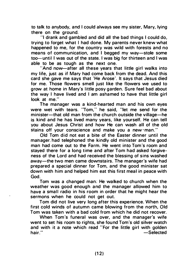to talk to anybody, and I could always see my sister, Mary, lying there on the ground.

"I drank and gambled and did all the bad things I could do, trying to forget what I had done. My parents never knew what happened to me, for the country was wild with forests and no means of communication, and I begged my way-stole some too-until I was out of the state. I was big for thirteen and I was able to be as tough as the next one.

"And now-after all these years that little girl walks into my life, just as if Mary had come back from the dead. And this card she gave me says that 'He Arose'. It says that Jesus died for me. Those flowers smell just like the flowers we used to grow at home in Mary's little posy garden. Sure feel bad about the way I have lived and I am ashamed to have that little girl look at me."

The manager was a kind-hearted man and his own eyes were wet with tears. "Tom," he said, "let me send for the minister-that old man from the church outside the village-he is kind and he has lived many years, like yourself. He can tell you about Jesus Christ and how He can wash all of the old stains off your conscience and make you a new·man."

Old Tom did not eat a bite of the Easter dinner until the mahager. had telephoned the kindly old minister and the good man had come out to the Farm. He went into Tom 's room and stayed there for a long time and after Tom had asked forgiveness of the Lord and had received the blessing of sins washed away-the two men came downstairs. The manager's wife had prepared a special dinner for Tom, and the good minister sat down with him and helped him eat this first meal in peace with God.

Tom was a changed man: He walked to church when the weather was good enough and the manager allowed him to have a small radio in his room in order that he might hear the sermons when he could not get out.

Tom did not live very long after this experience. When the first cold winds of autumn came blowing from the north, Old Tom was taken with a bad cold from which he did not recover.

When Tom's funeral was over, and the manager's wife went to set his room to rights, she found Tom's old silver watch and with it a note which read "For the little girl with golden<br>hair."<br>Selected  $-$ Selected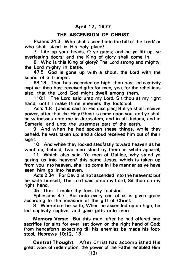# THE ASCENSION OF CHRIST

Psalms 24:3 Who shall ascend into the hill of the Lord? or who shall stand in His holy place?

7 Life up your heads,  $\overline{O}$  ye gates; and be ye lift up, ye everlasting doors; and the King of glory shall come in.

8 Who is this King of glory? The Lord strong and mighty, the Lord mighty in battle.

47:5 God is gone up with a shout, the Lord with the sound of a trumpet.

68:18 Thou has ascended on high, thou hast led captivity captive: thou hast received gifts for men; yea, for the rebellious also, that the Lord God might dwell among them.

110:1 The Lord said unto my Lord, Sit thou at my right hand, until I make thine enemies thy footstool.

Acts 1:8 [Jesus said to His disciples] But ye shall receive power, after that the Holy Ghost is come upon you: and ye shall be witnesses unto me in Jerusalem, and in all Judaea, and in Samaria, and unto the uttermost part of the earth.

9 And when he had spoken these things, while they beheld, he was taken up; and a cloud received him out of their sight.

10 And while they looked stedfastly toward heaven as he went up, behold, two men stood by them in white apparel;

11 Which also said, Ye men of Galilee, why stand ye gazing up into heaven? this same Jesus, which is taken up from you into heaven, shall so come in like manner as ye have seen him go into heaven.

Acts 2:34 For David is not ascended into the heavens: but he saith himself, The Lord. said unto my Lord, Sit thou on my right hand,

35 Until I make thy foes thy footstool.

Ephesians 4:7 But unto every one of us is given grace according to the measure of the gift of Christ.

8 Wherefore he saith, When he ascended up on high, he led captivity captive, and gave gifts unto men.

Memory Verse: But this man, after he had offered one sacrifice for sins for ever, sat down on the right hand of God; from henceforth expecting till his enemies be made his footstool. Hebrews 10:12, 13.

Central Thought: After Christ had accomplished His great work of redemption, the power of the Father enabled Him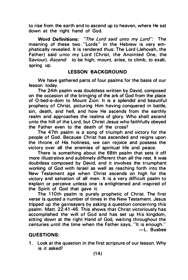to rise from the earth and to ascend up to heaven, where He sat down at the right hand of God.

Word Definitions: "The Lord said unto my Lord": The meaning of these two "Lords" in the Hebrew is very emphatically revealed. It is rendered thus: The Lord (Jehovah, the Father) said unto my Lord (Christ, the Anointed One, the Saviour). Ascend: to be high, mount, arise, to climb, to exalt, spring up.

# LESSON BACKGROUND

We have gathered parts of four psalms for the basis of our lesson today.

The 24th psalm was doubtless written by David, composed on the occasion of the bringing of the ark of God from the place of 0-bed-e-dom to Mount Zion. It is a splendid a nd beautiful prophecy of Christ, picturing Him having conquered in battle, sin, death, and hell, and how He ascends from the earthly realm and approaches the realms of glory. Who shall ascend unto the hill of the Lord, but Christ Jesus who faithfully obeyed the Father even to the death of the cross?

The 47th psalm is a song of triumph and victory for the people of God. Because Christ has ascended and reigns upon the throne of His holiness, we can rejoice and possess the victory over all the enemies of spiritual life and peace.

There is something about the 68th psalm that sets it off more illustrative and sublimely different than all the rest. It was doubtless composed by David, and it involves the triumphant working of God with Israel as well as reaching forth into the New Testament age when Christ ascends on high for the victory a nd salvation of all men. It is a very difficult psalm to explain or perceive unless one is enlightened and inspired of the Spirit of God that gave it.

The 110th psalm is purely prophetic of Christ. The first verse is quoted a number of times in the New Testament. Jesus tripped up the gainsavers by asking a question concerning this psalm. Matt. 22:41 -46. This shows that Christ victoriously has accomplished the will of God and has set up His kingdom. sitting down at the right Hand of God, waiting throughout the centuries until the time when the Father says. "It is enough." -L. Busbee

# QU ESTIONS:

1. Look at the question in the first scripture of our lesson. Why is it asked?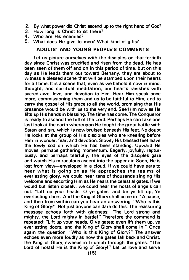- 2. By what power did Christ ascend up to the right hand of God?<br>3. How Jong is Christ to sit there?
- 3. How long is Christ to sit there?<br>4. Who are His enemies?
- 4. Who are His enemies?<br>5. What does He give to
- What does He give to men? What kind of gifts?

# ADULTS' AND YOUNG PEOPLE'S COMMENTS

Let us picture ourselves with the disciples on that fortieth day since Christ was crucified a nd risen from the dead. He has been seen of them off and on in this period of time, but on this day as He leads them out toward Bethany, they are about to witness a blessed scene that will be stamped upon their hearts for all time. It is a scene that, even as we behold it now in mind, thought, and spiritual meditation, our hearts ravishes with sacred awe, love, and devotion to Him. Hear Him speak once more, commissioning them and us to be faithful to Him, and to carry the gospel of His grace to all the world, promising that His presence would be with us to the very end. See· Him now as He lifts up His hands in blessing. The time has come. The Conqueror is ready to ascend the hill of the Lord. Perhaps He can take one last look at the earth whereupon He fought the great battle with Satan and sin, which is now bruised beneath His feet. No doubt He looks at the group of His disciples who are kneeling before Him in wonder, fear, and devotion. Slowly His blessed feet leave the lowly sod on which He has been standing. Upward He moves, perhaps gathering momentum. Eagerly, joyfully, rapturously, and perhaps tearfully, the eyes of the disciples gaze and watch His miraculous ascent into the upper air. Soon, He is lost from view-enveloped in a cloud. If we could have ears to hear what is going on as He approaches the realms of everlasting glory, we could hear tens of thousands singing His welcome and escorting Him as He nears the celestial gates. If we would but listen closely, we could hear the hosts of angels call out: "Lift up your heads, O ve gates; and be ye lift up, Ye everlasting doors; And the King of Glory shall come in." A pause, and then from within can you hear an answering: "Who is this King of Glory?" Not just anyone can dare do this. The reassuring message echoes forth with gladness: "The Lord strong and mighty, the Lord mighty in battle!" Therefore the command is repeated: "Lift up your heads, 0 ye gates; even lift them up, ye everlasting doors; and the King of Glory shall come in." Once again the question: 'Who is this King of Glory? " The answer echoes even more loudly as now the gates fall back and Christ, the King of Glory, sweeps in triumph through the gates. "The Lord of hosts! He is the King of Glory!" Let us love and serve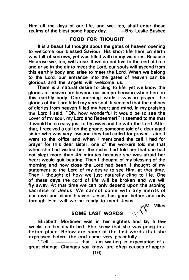Him all the days of our life, and we, too, shall enter those realms of the blest some happy day.

# FOOD FOR THOUGHT

It is a beautiful thought about the gates of heaven opening to welcome our blessed Saviour. His short life here on earth was full of sorrows, yet was filled with many victories. Because He arose we, too, will arise. If we do not live to the end of time and arise in the air to meet the Lord, our souls will ascend from this earthly body and arise to meet the Lord. When we belong to the Lord, our entrance into the gates of heaven can be glorious and the angels will welcome us.

There is a natural desire to cling to life, yet we know the glories of heaven are beyond our comprehension while here in this earthly body. One morning while I was in prayer, the glories of the Lord filled my very soul. It seemed that the echoes of glories from heaven filled my heart and mind. In my praising the Lord I said, "Oh, how wonderful it would be to see the Lover of my soul, my Lord and Redeemer!" It seemed to me that it would be so easy just to fly away and be with the Lord. After that, I received a call on the phone; someone told of a dear aged sister who was very low and they had called for prayer. Later, I went to the office and when I mentioned the call I had for prayer for this dear sister, one of the workers told me that when she had visited her, the sister had told her that she had not slept more than 45 minutes because she was afraid her heart would quit beating. Then I thought of my blessing of the morning and how close the Lord had been. I thought of my statement to the Lord of my desire to see Him, at that time. Then I thought of how we just naturally cling to life. One of these days the cord of life will be broken and we will fly away. At that time we can only depend upon the atoning sacrifice of Jesus. We cannot come with any merits of our own and claim heaven. Jesus has gone before and only through Him will we be ready to meet Jesus. W. Miles

# SOME LAST WORDS

Elizabeth Mortimer was in her eighties and lay a few weeks on her death bed. She knew that she was going to a better place. Below are some of the last words that she expressed before the end came very peacefully.

"Tell  $\frac{1}{1}$   $\frac{1}{1}$   $\frac{1}{1}$  am waiting in expectation of a great change. Changes you know, are often causes of appre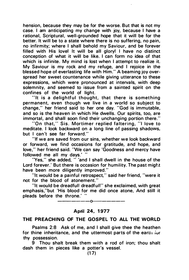hension, because they may be for the worse. But that is not my case. I am anticipating my change with joy, because I have a rational, Scriptural, well-grounded hope that it will be for the better. It will be to a state where there is no suffering, no pain, no infirmity; where I shall behold my Saviour, and be forever filled with His love! It will be all glory! I have no distinct conception of what it will be like. I can form no idea of that which is infinite. My mind is lost when I attempt to realize it. My Saviour is my rock and my refuge, and I rejoice in the blessed hope of everlasting life with Him." A beaming joy overspread her sweet countenance while giving utterance to these expressions, which were pronounced at intervals, with deep solemnity, and seemed to issue from a sainted spirit on the confines of the world of light.

"It is a delightful thought, that there is something permanent, even though we live in a world so subject to change," her friend said to her one day. "God is immutable, and so is the heaven in which He dwells. Our spirits, too, are immortal, and shall soon find their unchanging portion there."

"On that," Sis. Mortimer replied faltering, "I love to meditate. I look backward on a long line of passing shadows. but I can 't see far forward."

"If we are saved from our sins, whether we look backward or forward, we find occasions for gratitude, and hope, and love," her friend said. "We can say 'Goodness and mercy have followed me all my days.' "

"Yes," she added, " 'and I shall dwell in the house of the Lord forever.' But there is occasion for humility. The past might have been more diligently improved."

"It would be a painful retrospect, " said her· friend, "were it not for the blood of atonement."

"It would be dreadful! dreadful!" she exclaimed, with great emphasis,"but 'His blood for me did once atone. And still it pleads before the throne.' "

 $---$ o $-$ 

### April 24, 1977

### THE PREACHING OF THE GOSPEL TO ALL THE WORLD

Psalms 2:8 Ask of me, and I shall give thee the heathen for thine inheritance, and the uttermost parts of the earth for thy possession.

9 Thou shalt break them with a rod of iron; thou shalt dash them in pieces like a potter's vessel.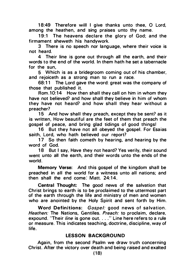18:49 Therefore will I give thanks unto thee, O Lord, among the heathen, and sing praises unto thy name.

19:1 The heavens declare the glory of God; and the firmament sheweth his handywork.

3 There is no speech nor language, where their voice is not heard.

4 Their line is gone out through all the earth, and their words to the end of the world. In them hath he set a tabernacle for the sun

5 Which is as a bridegroom coming out of his chamber, and rejoiceth as a strong man to run a race.

68:11 The Lord gave the word: great was the company of those that published it.

Rom.10:14 How then shall they call on him in whom they have not believed? and how shall they believe in him of whom they have not heard? and how shall they hear without a preacher?

15 And how shall they preach, except they be sent? as it is written, How beautiful are the feet of them that preach the gospel of peace, and bring glad tidings of good things!

16 But they have not all obeyed the gospel. For Esaias saith, lord, who hath believed our report?

17 So then faith cometh by hearing, and hearing by the word of God.

18 But I say, Have they not heard? Yes verily, their sound went unto all the earth, and their words unto the ends of the world.

Memory Verse: And this gospel of the kingdom shall be preached in all the world for a witness unto all nations; and then shall the end come: Matt. 24:14

Central Thought: The good news of the salvation that Christ brings to earth is to be proclaimed to the uttermost part of the earth through the life and ministry of men and women who are anointed by the Holy Spirit and sent forth by Him.

Word Definitions: *Gospel:* good news of salvation. Heathen: The Nations, Gentiles. Preach: to proclaim, declare, expound. "Their line is gone out. . . ." Line here refers to a rule or measure. This indicates teaching, doctrine, discipline, way of life.

# **LESSON BACKGROUND**

Again, from the second Psalm we draw truth concerning Christ. After the victory over death and being raised and exalted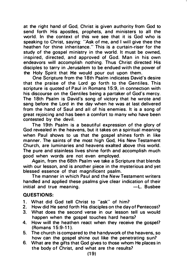at the right hand of God, Christ is given authority from God to send forth His apostles, prophets, and ministers to all the world. In the context of this we see that it is God who is speaking to Christ, saying: "Ask of me, and I will give thee the heathen for thine inheritance." This is a curtain-riser for the study of the gospel ministry in the world. It must be owned, inspired, directed, and approved of God. Man in his own endeavors will accomplish nothing. Thus Christ directed His disciples to tarry in Jerusalem to be endued with the power of the Holy Spirit that He would pour out upon them.

One Scripture from the 18th Psalm indicates David's desire that the praise of the Lord go forth to the Gentiles. This scripture is quoted of Paul in Romans 15:9, in connection with his discourse on the Gentiles being a partaker of God's mercy. The 18th Psalm is David's song of victory that he wrote and sang before the Lord in the day when he was at last delivered from the hand of Saul and all of his enemies. It is a song of great rejoicing and has been a comfort to many who have been contested by the devil.

The 19th Psalm is a beautiful expression of the glory of God revealed in the heavens, but it takes on a spiritual meaning when Paul shows to us that the gospel shines forth in like manner. The saints of the most high God, His New Testament Church, are luminaries and heavens exalted above this world. The pure and stainless lives shine forth and accomplish much good when words are not even employed.

Again, from the 68th Psalm we take a Scripture that blends with our lesson, and is another piece in the mysterious and yet blessed essence of that magnificent psalm.

The manner in which Paul and the New Testament writers handled and applied these psalms give clear indication of their<br>initial and true meaning. initial and true meaning.

### QU ESTIONS:

- 1. What did God tell Christ to "ask" of him?
- 2. How did He send forth His disciples on the day of Pentecost?
- 3. What does the second verse in our lesson tell us would happen when the gospel touches hard hearts?
- 4. How will the heathen react when they receive the gospel? (Romans 1 5:9-1 1 ).
- 5. The church is compared to the handywork of the heavens, so how can the gospel shine out like the penetrating sun?
- 6. What are the gifts that God gives to those whom He places in the body of Christ, and what are the results?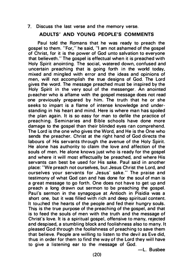7. Discuss the last verse and the memory verse.

# ADULTS' AND YOUNG PEOPLE'S COMMENTS

Paul told the Romans that he was ready to preach the gospel to them. "For, " he said, "I am not ashamed of the gospel of Christ, for it is the power of God unto salvation to everyone that believeth." The gospel is effectual when it is preached with Holy Spirit anointing. The social, watered down, confused and uncertain preaching that is going forth in the world today, mixed and mingled with error and the ideas and opinions of men, will not accomplish the true designs of God. The Lord gives the word. The message preached must be inspired by the Holy Spirit in the very soul of the messenger. An anointed p1eacher who is aflame with the gospel message does not read one previously prepared by him. The truth that he or she seeks to impart is a flame of intense knowledge and understanding in his heart and mind. Here is where man has spoiled the plan again. It is so easy for man to defile the practice of preaching. Seminaries and Bible schools have done more damage to the gospel than their blinded eyes can comprehend. The Lord is the one who gives the Word, and He is the One who sends the preacher. Christ at the right hand of God directs the labours of His servants through the avenue of the Holy Spirit. He alone has authority to claim the love and affection of the souls of men. He alone knows just who is ready for the gospel and where it will most effectually be preached, and where His servants can best be used for His sake. Paul said in another place: "We preach not ourselves, but Jesus Christ the Lord, and ourselves your servants for Jesus' sake." The praise and testimony of what God can and has done for the soul of man is a great message to go forth. One does not have to get up and preach a long drawn out sermon to be preaching the gospel. Paul's sermon in the synagogue at Antioch in Pisidia was a short one, but it was filled with rich and deep spiritual content. It touched the hearts of the people and fed their hungry souls. This is the true purpose of the preaching of the gospel, and that is to feed the souls of men with the truth and the message of Christ's love. It is a spiritual gospel, offensive to many, rejected and despised, a stumbling block a nd foolishness also to many. It pleased God through the foolishness of preaching to save them that believe. People are willing to listen to the devil as Eve did. thus in order for them to find the way of the Lord they will have to give a listening ear to the message of God.

-L. Busbee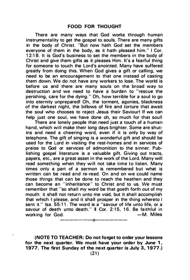There are many ways that God works through human instrumentality to get the gospel to souls. There are many gifts in the body of Christ. "But now hath God set the members everyone of them in the body, as it hath pleased him." I Cor. 12:18. It is God's business to set the members in the body of Christ and give them gifts as it pleases Him. It's a fearful thing for someone to touch the Lord's anointed. Many have suffered greatly from doing this. When God gives a gift or calling, we need to be an encouragement to that one instead of casting them down. We do not have any workers to lose. The world is before us and there are many souls on the broad way to destruction and we need to have a burden to "rescue the perishing, care for the dying." Oh, how terrible for a soul to go into eternity unprepared! Oh, the torment, agonies, blackness of the darkest night, the billows of fire and torture that await the soul who chooses to reject Jesus their Saviour! If we can help just one soul, we have done oh, so much for that soul!

There are lonely people that need just a touch of a human hand, which will make their long days brighter. Some are shutins and need a cheering word, even if it is only by way of telephone. The gift of singing is a wonderful gift and should be used for the Lord in visiting the rest-homes and in services of praise to God or services of admonition to the sinner. Publishing gospel literature is a valuable gift. Giving out tracts, papers, etc., are a great asset in the work of the Lord. Many will read something when they will not take time to listen. Many times only a part of a sermon is remembered but what is written can be read and re-read. On and on we could name those things that can be done to reach the heathen and they can become an "inheritance" to Christ and to us. We must remember that "so shall my word be that goeth forth out of my mouth: it shall not return unto me void, but it shall accomplish that which I please. and it shall prosper in the thing whereto I sent it." Isa. 55:11. The word is a "savour of life unto life, or a savour of death unto death." Il Cor. 2:15, 16. Be faithful in working for God.  $-M$ . Miles

(NOTE TO TEACHER: Do not forget to order your lessons for the next quarter. We must have your order by June 1, 1977. The first Sunday of the next quarter is July 3, 1977.)

-------o-------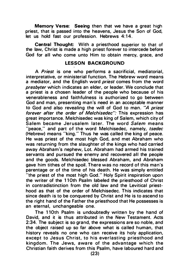Memory Verse: Seeing then that we have a great high priest, that is passed into the heavens, Jesus the Son of God, let us hold fast our profession. Hebrews 4:14.

Central Thought: With a priesthood superior to that of the law, Christ is made a high priest forever to intercede before God for all who come unto Him to obtain mercy, grace, and

# LESSON BACKGROUND

A Priest is one who performs a sacrificial, mediatorial, interpretative, or ministerial function. The Hebrew word means a mediator, and the English word *priest* comes from the word presbyter which indicates an elder, or leader. We conclude that a priest is a chosen leader of the people who because of his venerableness and faithfulness is authorized to go between God and man, presenting man's need in an acceptable manner to God and also revealing the will of God to man. "A priest forever after the order of Melchisedec": This expression has great importance. Melchisedec was king of Salem, which city of Salem became Jerusalem later. The word Salem means "peace," and part of the word Melchisedec, namely, tsedec (Hebrew) means "king." Thus he was called the king of peace. He was priest of the most high God, and met Abraham who was returning from the slaughter of the kings who had carried away Abraham's nephew, Lot. Abraham had armed his trained servants and pursued the enemy and recovered all the people and the goods. Melchisedec blessed Abraham, and Abraham gave him tithes of the spoil. There was no record of this man's parentage or of the time of his death. He was simply entitled "the priest of the most high God." Holy Spirit inspiration upon the writer of the 11 Oth Psalm labeled the priesthood of Christ in contradistinction from the old law and the Levitical priesthood as that of the order of Melchisedec. This indicates that since death is to be conquered by Christ and He is to ascend to the right hand of the Father the priesthood that He possesses is an eternal, unchangeable one.

The 110th Psalm is undoubtedly written by the hand of David, and it is thus attributed in the New Testament. Acts 2:34. The subject is so grand, the expressions are so noble, and the object raised up so far above what is called human, that history reveals no one who can receive its holy application, except to Jesus Christ, to his everlasting priesthood and kingdom. The Jews, aware of the advantage which the Christian faith derives from this Psalm, have laboured hard and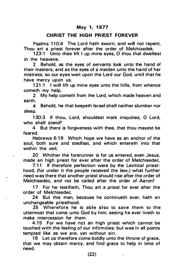# May 1, 1977

# CHRIST THE HIGH PRIEST FOREVER

Psalms 110:4 The Lord hath sworn, and will not repent, Thou art a priest forever after the order of Melchizedek.

123:1 Unto thee lift I up mine eyes. O thou that dwellest in the heavens.

2 Behold, as the eyes of servants look unto the hand of their masters, and as the eyes of a maiden unto the hand of her mistress; so our eyes wait upon the Lord our God, until that he have mercy upon us. ·

121:1 I will lift up mine eyes unto the hills, from whence cometh my help.

2 My help cometh from the Lord, which made heaven and earth.

4 Behold, he that keepeth Israel shall neither slumber nor sleep.

1 30:3 If thou, Lord, shouldest mark iniquities, 0 Lord, who shall stand?

4 But there is forgiveness with thee, that thou mayest be feared.

Hebrews 6:19 Which hope we have as an anchor of the soul, both sure and stedfast, and which entereth into that within the veil;

20 Whither the forerunner is for us entered, even Jesus. made an high priest for ever after the order of Melchisedec.

7:11 If therefore perfection were by the Levitical priesthood, (for under it the people received the law,) what further need was there that another priest should rise after the order of Melchisedec, and not be called after the order of Aaron?

17 For he testifieth, Thou art a priest for ever after the order of Melchisedec.

24 But this man, because he continueth ever, hath an unchangeable priesthood.

25 Wherefore he is able also to save them to the uttermost that come unto God by him, seeing he ever liveth to make intercession for them.

4:15 For we have not an high priest which cannot be touched with the feeling of our infirmities; but was in all points tempted like as we are, yet without sin.

16 Let us therefore come boldly unto the throne of grace, that we may obtain mercy, and find grace to help in time of need.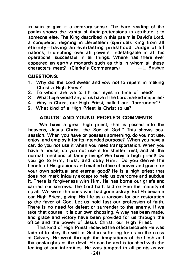in vain to give it a contrary sense. The bare reading of the psalm shows the vanity of their pretensions to attribute it to someone else. The King described in this psalm is David's Lord. a conqueror, reigning in Jerusalem (spiritual), King from all eternity-having an everlasting priesthood, Judge of all nations, triumphing over all powers, indefatigable in all his operations, successful in all things. Where has there ever appeared an earthly monarch such as this in whom all these<br>characters meet? (Clarke's Commentary) –L. Busbee characters meet? (Clarke's Commentary)

### QU ESTIONS:

- 1. Why did the Lord swear and vow not to repent in making Christ a High Priest?
- 2. To whom are we to lift our eyes in time of need?
- 3. What hope would any of us have if the Lord marked iniquities?
- 4. Why is Christ, our High Priest, called our "forerunner'?
- 5. What kind of a High Priest is Christ to us?

# ADULTS' AND YOUNG PEOPLE'S COMMENTS

"We have a great high priest, that is passed into the heavens, Jesus Christ, the Son of God." This shows possession. When you have or possess something, do you not use, enjoy, and employ it for its intended purpose? When you have a car, do you not use it when you need transportation. When you have a house, do you not use it for shelter, rest, and all the normal functions of family living? We have a high priest! Do you go to Him, trust, and obey Him. Do you derive the benefit of His gracious and exalted office of power and grace for your own spiritual and eternal good? He is a high priest that does not mark iniquity except to help us overcome and subdue it. There is forgiveness with Him. He has borne our griefs and carried our sorrows. The Lord hath laid on Him the iniquity of us all. We were the ones who had gone astray. But He became our High Priest, giving His life as a ransom for our restoration to the favor of God. Let us hold fast our profession of faith. There is no need for defeat or surrender to the enemy. If we take that course, it is our own choosing. A way has been made, and grace and victory have been provided for us through the office and the power of Jesus Christ, our High Priest.

This kind of High Priest received the office beca use He was faithful to obey the will of God in suffering for us on the cross of Calvary. He went through the temptations of the flesh and the onslaughts of the devil. He can be and is touched with the feeling of our infirmities. He was tempted in all points as we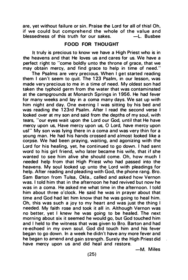are, yet without failure or sin. Praise the Lord for all of this! Oh, if we could but comprehend the whole of the value and<br>blessedness of this truth for our sakes.  $\leftarrow$  L. Busbee blessedness of this truth for our sakes.

# FOOD FOR THOUG HT

It truly is precious to know we have a High Priest who is in the heavens and that He loves us and cares for us. We have a perfect right to "come boldly unto the throne of grace, that we may obtain mercy, and find grace to help in time of need."

The Psalms are very precious. When I get started reading them I can 't seem to quit. The 1 23 Psalm, in our lesson, was made very precious to me in a time of need. My oldest son had taken the typhoid germ from the water that was contaminated at the campgrounds at Monarch Springs in 1 956. He had fever for many weeks and lay in a coma many days. We sat up with him night and day. One evening I was sitting by his bed and was reading the 123rd Psalm. After I read the second verse I looked over at my son and said from the depths of my soul, with tears, "our eyes wait upon the Lord our God, until that He have mercy upon us, Have mercy upon us, 0 Lord, have mercy upon us!" My son was Iving there in a coma and was very thin for a young man. He had his hands crossed and a lmost looked like a corpse. We had been praying, waiting, and agonizing with the Lord for his healing, yet, he continued to go down. I had sent word to his girl friend, who later became his wife, that if she wanted to see him alive she should come. Oh, how much I needed help from that High Priest who had passed into the heavens. My soul looked up unto the Lord with pleadings for help. After reading and pleading with God, the phone rang. Bro. Sam Barton from Tulsa, Okla., called and asked how Vernon was. I told him that in the afternoon he had revived but now he was in a coma. He asked me what time in the afternoon. I told him about three o'clock. He said he was in prayer about that time and God had let him know that he was going to heal him. Oh, this was such a joy to my heart and was just the thing I needed. My faith rose and took it all in. Although Vernon was no better, yet I knew he was going to be healed. The next morning about six it seemed he would go, but God touched him and I held to the witness that was given to Bro. Barton and had re-echoed in my own soul. God did touch him and his fever began to go down. In a week he didn't have any more fever and he began to amend and gain strength. Surely the High Priest did have mercy upon us and did heal and restore.

-M. Miles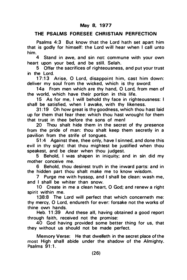# THE PSALMS FORESEE CHRISTIAN PERFECTION

Psalms 4:3 But know that the Lord hath set apart him that is godly for himself: the Lord will hear when I call unto him.

4 Stand in awe, and sin not: commune with your own heart upon your bed, and be still. Selah.

5 Offer the sacrifices of righteousness, and put your trust in the Lord.

17:13 Arise, O Lord, disappoint him, cast him down: deliver my soul from the wicked, which is thy sword:

14a From men which are thy hand, O Lord, from men of the world, which have their portion in this life.

15 As for me, I will behold thy face in righteousness: I shall be satisfied, when I awake, with thy likeness.

31 :19 Oh how great is thy goodness, which thou hast laid up for them that fear thee: which thou hast wrought for them that trust in thee before the sons of menl

20 Thou shalt hide them in the secret of thy presence from the pride of man: thou shalt keep them secretly in a pavilion from the strife of tongues.

51 :4 Against thee, thee only, have I sinned, and done this evil in thy sight: that thou mightest be justified when thou speakest, and be clear when thou judgest.

5 Behold, I was shapen in iniquity; a nd in sin. did my mother conceive me.

6 Behold, thou desirest truth in the inward parts: a nd in the hidden part thou shalt make me to know wisdom.

7 Purge me with hyssop, and I shall be clean: wash me, and I shall be whiter than snow.

10 Create in me a clean heart, 0 God; and renew a right spirit within me.

138:8 The Lord will perfect that which concerneth me: thy mercy, 0 Lord, endureth for ever: forsake not the works of thine own hands.

Heb. 11:39 And these all, having obtained a good report through faith, received not the promise:

40 God having provided some better thing for us, that they without us should not be made perfect.

Memory Verse: He that dwelleth in the secret place of the most High shall abide under the shadow of the Almighty. Psalms  $91:1$ .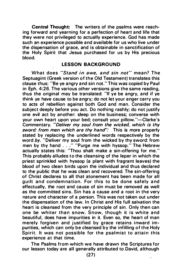Central Thought: The writers of the psalms were reaching forward and vearning for a perfection of heart and life that they were not privileged to actually experience. God has made such an experience possible and available for us who live under the dispensation of grace, and is obtainable in sanctification of the Holy Spirit that Jesus purchased for us by His precious blood.

#### LESSON BACKGROUND

What does "Stand in awe, and sin not" mean? The Septuagint (Greek version of the Old Testament) translates this clause thus: "Be ye a ngry a nd sin not." This was copied by Paul in Eph. 4:26. The various other versions give the same reading, thus the original may be translated: "If ye be angry, a nd if ye think ye have cause to be angry; do not let your anger carry you to acts of rebellion against both God a nd man. Consider the subject deeply before you act. Do nothing rashly; do not justify one evil act by another: sleep on the business; converse with your own heart upon your bed; consult your pillow."-Clarke's Commentary. "Deliver my soul from the wicked, which is thy sword: from men which are thy hand": This is more properly stated by replacing the underlined words respectively by the word by. "Deliver my soul from the wicked by thy sword: from men by thy hand . . . " "Purge me with hyssop." The Hebrew actually states this: "Thou shalt make a sin-offering for me." This probably alludes to the cleansing of the leper in which the priest sprinkled with hyssop (a plant with fragrant leaves) the blood of two clean birds upon the individual and thus declared to the public that he was clean and recovered. The sin-offering of Christ declares to all that atonement has been made for all quilt and condemnation. For this to be done safely and effectually, the root and cause of sin must be removed as well as the committed sins. Sin has a cause and a root in the very nature and character of a person. This was not taken out under the dispensation of the law. In Christ and His full salvation the heart is cleansed from the very principle of sin. Only then can one be whiter than snow. Snow, though it is white and beautiful, does have impurities in it. Even so, the heart of man merely forgiven and justified by grace retains inward impurities, which can only be cleansed by the infilling of the Holy Spirit. It was not possible for the psalmist to attain this experience at that time.

The Psalms from which we have drawn the Scriptures for our lesson today are all generally attributed to David, although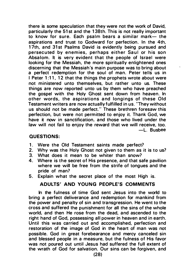there is some speculation that they were not the work of David, particularly the 51 st and the 1 38th. This is not really important to know for sure. Each psalm bears a similar mark- the aspirations and trust to Godward for perfection. In the 4th. 17th, and 31st Psalms David is evidently being pursued and persecuted by enemies, perhaps either Saul or his son Absalom. It is very evident that the people of Israel were looking for the Messiah, the more spiritually enlightened ones discerning that the Messiah 's main purpose was to bring about a perfect redemption for the soul of man. Peter tells us in I Peter 1:11, 12 that the things the prophets wrote about were not ministered unto themselves, but rather unto us. These things are now reported unto us by them who have preached the gospel with the Holy Ghost sent down from heaven. In other words, the aspirations and longings of these Old Testament writers are now actually fulfilled in us. "They without us should not be made perfect." These brethren foresaw this perfection, but were not permitted to enjoy it. Thank God, we have it now in sanctification, and those who lived under the law will not fail to enjoy the reward that we will receive, too. -L. Busbee

# QUESTIONS:

- 1. Were the Old Testament saints made perfect?
- 2. Why was the Holy Ghost not given to them as it is to us?
- 3. What does it mean to be whiter than snow?<br>4. Where is the secret of His presence, and that sa
- Where is the secret of His presence, and that safe pavilion where we will be free from the strife of tongues and the pride of man?
- 5. Explain what the secret place of the most High is.

# ADULTS' AND YOUNG PEOPLE'S COMMENTS

In the fulness of time God sent Jesus into the world to bring a perfect deliverance and redemption for mankind from the power and penalty of sin and transgression. He went to the cross and suffered the punishment for all the sins of the whole world, and then He rose from the dead, and ascended to the right hand of God, possessing all power in heaven and in earth. Until this was carried out and accomplished, perfection and restoration of the image of God in the heart of man was not possible. God in great forebearance and mercy canceled sin and blessed people in a measure. but the fulness of His favor was not poured out until Jesus had suffered the full extent of the wrath of God for salvation. Our sins can be forgiven, and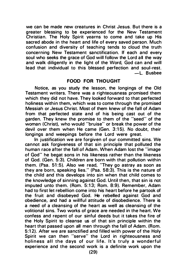we can be made new creatures in Christ Jesus. But there is a greater blessing to be experienced for the New Testament Christian. The Holy Spirit yearns to come and take up His sacred abode in the heart and life of every saved person. Much confusion and diversity of teaching tends to cloud the truth concerning New Testament sanctification. If each and every soul who seeks the grace of God will follow the Lord all the way and walk diligently in the light of the Word, God can and will lead that individual to this blessed perfection and soul-rest. -L. Busbee

# FOOD FOR THOUGHT

Notice, as you study the lesson, the longings of the Old Testament writers. There was a righteousness promised them which they did not have. They looked forward to that perfected holiness within them, which was to come through the promised Messiah or Jesus Christ. Most of them knew of the fall of Adam from that perfected state and of his being cast out of the garden. They knew the promise to them of the "seed" of the woman (Christ), who would "bruise" or break the power of the devil over them when He came (Gen. 3:15). No doubt, their longings a nd weepings before the Lord were great.

In justification we are forgiven of our committed sins. We cannot ask forgiveness of that sin principle that polluted the human race after the fall of Adam. When Adam lost the "image of God" he begat sons in his likeness rather than the likeness of God. (Gen. 5:3). Children a re born with that pollution within them. (Psa. 51:5). Also we read, "They go astray as soon as they are born, speaking lies." (Psa. 58:3). This is the nature of the child and this develops into sin when that child comes to the knowledge of sinning against God. Until then, that sin is not imputed unto them. (Rom. 5:13; Rom. 8:9). Remember, Adam had to first let rebellion come into his heart before he partook of the fruit a nd disobeyed God. He rebelled against God and obedience, and had a willful attitude of disobedience. There is a need of a cleansing of the heart as well as cleansing of the volitional sins. Two works of grace are needed in the heart. We confess and repent of our sinful deeds but it takes the fire of the Holy Spirit to cleanse us of that sin principle within the heart that passed upon all men through the fall of Adam. (Rom. 5:12). After we are sanctified and filled with power of the Holy Spirit we can then "serve" the Lord in righteousness and holiness all the days of our life. It's truly a wonderful experience and the second work is a definite work upon the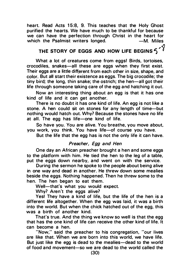heart. Read Acts 15:8, 9. This teaches that the Holy Ghost purified the hearts. We have much to be thankful for because we can have the perfection through Christ in the heart for<br>which the Psalmist writers longed. - M. Miles which the Psalmist writers longed.

# THE STORY OF EGGS AND HOW LIFE BEGINS  $\textbf{S} < \textbf{S}$

What a lot of creatures come from eggs! Birds, tortoises, crocodiles, snakes-all these are eggs when they first exist. Their eggs are a little different from each other in size, shape, and color. But all start their existence as eggs. The big crocodile; the tiny bird; the long, thin snake; the ostrich; the hen-all got their life through someone taking care of the egg and hatching it out.

Now an interesting thing about an egg is that it has one ·kind of life and it can get another.

There is no doubt it has one kind of life. An egg is not like a stone. A hen could sit on stones for any length of time-but nothing would hatch out. Why? Because the stones have no life at all. The egg has life-one kind of life.

So have you. You are alive. You breathe, you move about, you work, you think. You have life-of course you have.

But the life that the egg has is not the only life it can have.

# Preacher, Egg and Hen

One day an African preacher brought a hen and some eggs to the platform with him. He tied the hen to the leg of a table, put the eggs down nearby, and went on with the service.

During the sermon he spoke to the people about being alive in one way and dead in a nother. He threw down some mealies beside the eggs. Nothing happened. Then he threw some to the hen. The hen began to eat them.

Well-that's what you would expect.

Why? Aren't the eggs alive?

Yes! They have a kind of life, but the life of the hen is a different life altogether. When the egg was laid, it was a birth into the world. But when the chick hatched out of the egg, this was a birth of another kind.

That's true. And the thing we know so well is that the egg that has the one kind of life can receive the other kind of life. It can become a hen.

"Now," said the preacher to his congregation, "our lives are like that. When we are born into this world, we have life. But just like the egg is dead to the mealies—dead to the world of food and movement-so we are dead to the world called the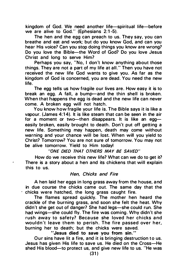kingdom of God. We need another life-spiritual life-before we are alive to God." (Ephesians 2:1-5).

The hen and the egg can preach to us. They say, you can breathe and eat and work; but do you know God, and can you hear His voice? Can you stop doing things you know are wrong? Do you love the Bible-the Word of God? Do you love Jesus Christ and long to serve Him?

Perhaps you say, "No, I don't know anything about those things. They are not a part of my life at all." Then you have not received the new life God wants to give you. As far as the kingdom of God is concerned, you are dead. You need the new life.

The egg tells us how fragile our lives are. How easy it is to break an egg. A fall, a bump-and the thin shell is broken. When that happens the egg is dead and the new life can never come. A broken egg will not hatch.

You know how fragile your life is. The Bible says it is like a vapour. (James 4:14). It is like steam that can be seen in the air for a moment or two-then disappears. It is like an eggeasily broken, easily brought to death. Don't put off getting a new life. Something may happen, death may come without warning and your chance will be lost. When will you yield to Christ? Tomorrow? You are not sure of tomorrow. You may not be alive tomorrow. Yield to Him today!

"ONE DIED THAT OTHERS MAY BE SAVED"

How do we receive this new life? What can we do to get it? There is a story about a hen and its chickens that will explain this to us.

#### Hen, Chicks and Fire

A hen laid her eggs in long grass away from the house, a nd in due course the chicks came out. The same day that the chicks were hatched, the long grass caught fire.

The flames spread quickly. The mother hen heard the crackle of the burning grass, a nd soon she felt the heat. Why didn't she get out of danger? She had legs-she could run. She had wings-she could fly. The fire was coming. Why didn't she rush away to safety? Because she loved her chicks and wouldn't leave them to perish. The fire passed over her, burning her to death; but the chicks were saved.

"Jesus died to save you from sin."

Our sins have lit a fire, and it is bringing destruction to us. Jesus has given His life to save us. He died on the Cross-He shed His blood-to protect us, and give new life to us. "He was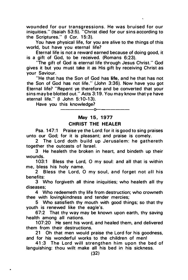wounded for our transgressions. He was bruised for our iniquities." (Isaiah 53:5). "Christ died for our sins according to the Scriptures." (I Cor. 15:3).

You have physical life, for you are alive to the things of this world, but have you eternal life?

Eternal life is not a reward earned because of doing good, it is a gift of God, to be received. (Romans 6:23).

"The gift of God is eternal life through Jesus Christ. " God gives it but you must take it as His gift by receiving Christ as your Saviour.

"He that has the Son of God has life, and he that has not the Son of God has not life." (John 3:36). Now have you got Eternal life? "Repent ye therefore and be converted that your sins may be blotted out." Acts 3:19. You may know that ye have eternal life." (I John 5:10-13).

Have you this knowledge?

# —————————————— May 15, 1977 **CHRIST THE HEALER**

Psa. 147:1 Praise ye the Lord: for it is good to sing praises unto our God; for it is pleasant; and praise is comely.

2 The Lord doth build up Jerusalem: he gathereth together the outcasts of Israel.

3 He healeth the broken in heart, and bindeth up their wounds.

103:1 Bless the Lord, O my soul: and all that is within me, bless his holy name.

2 Bless the Lord, O my soul, and forget not all his benefits:

3 Who forgiveth all thine iniquities; who healeth all thy diseases;

4 Who redeemeth thy life from destruction; who crowneth thee with lovingkindness and tender mercies;

5 Who satisfieth thy mouth with good things; so that thy youth is renewed like the eagle's.

67:2 That thy way may be known upon earth, thy saving health among all nations.

107:20 He sent his word, and healed them, and delivered them from their destructions.

21 Oh that men would praise the Lord for his goodness, and for his wonderful works to the children of men!

41 :3 The Lord will strengthen him upon the bed of languishing: thou wilt make all his bed in his sickness.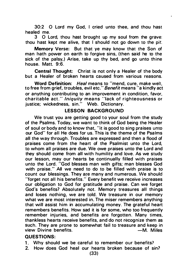30:2 0 Lord my God, I cried unto thee, and thou hast healed me.

3 0 Lord, thou hast brought up my soul from the grave: thou hast kept me alive, that I should not go down to the pit.

Memory Verse: But that ye may know that the Son of man hath power on earth to forgive sins, (then said he to the sick of the palsy.) Arise, take up thy bed, and go unto thine house. Matt. 9:6.

Central Thought: Christ is not only a Healer of the body but a Healer of broken hearts caused from various reasons.

Word Definition: Heal means to "mend, cure, make well, to free from grief, troubles, evil etc." Benefit means "a kindly act or anything contributing to an improvement in condition. favor, charitable act." Iniquity means "lack of righteousness or justice; wickedness, sin." Web. Dictionary.

### **LESSON BACKGROUND**

We trust you are getting good to your soul from the study of the Psalms. Today, we want to think of God being the Healer of soul or body and to know that, "it is good to sing praises unto our God" for all He does for us. This is the theme of the Psalms all the way through. Troubles are expressed and then a flood of praises come from the heart of the Psalmist unto the Lord, to whom all praises are due. We owe praises unto the Lord and they should come from all with humility and love. As we study our lesson, may our hearts be continually filled with praises unto the Lord. "God blesses man with gifts; man blesses God with praise." All we need to do to be filled with praise is to count our blessings. They are many and numerous. We should "forget not all his benefits." Every benefit we receive increases our obligation to God for gratitude and praise. Can we forget God's benefits? Absolutely not. Memory treasures all things and loses nothing, we are told. We treasure in our memory what we are most interested in. The miser remembers anything that will assist him in accumulating money. The grateful heart remembers benefits. How sad it is for some, who too frequently remember injuries, and benefits are forgotten. Many times, thankless hearts receive benefits, and do not recognize them as such. They are prone to somewhat fail to treasure and keep in<br>view Divine benefits. — — M. Miles view Divine benefits.

# QUESTIONS:

- 1. Why should we be careful to remember our benefits?
- 2. How does God heal our hearts broken because of sin?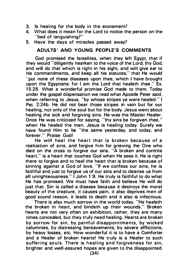- 3. Is healing for the body in the atonement?<br>4. What does it mean for the Lord to notice the
- What does it mean for the Lord to notice the person on the "bed of languishing?"
- 5. Have the days of miracles passed away?

# ADULTS' AND YOUNG PEOPLE'S COMMENTS

God promised the Israelites, when they left Egypt, that if they would "diligently hearken to the voice of the Lord, thy God, and will do that which is right in his sight, and wilt give ear to his commandments, and keep all his statutes," that He would "put none of these diseases upon thee, which I have brought upon the Egyptians: for I am the Lord that healeth thee." Ex. 1 5:26. What a wonderful promise God made to them. Today under the gospel dispensation we read what Apostle Peter said, when referring to Jesus, "by whose stripes ye were healed." I Pet. 2:24b. He did not bear those stripes in vain but for our healing, not only of the soul but for the body. Jesus went about healing the sick and forgiving sins. He was the Master Healer. Once He was criticized for saying, "thy sins be forgiven thee," when He healed the man. Jesus is healing today. Surely we have found Him to be "the same yesterday, and today, and forever." Praise God!

He will heal the heart that is broken because of a realization of sins, and forgive him for grieving the One who died on the cross to forgive our sins. "A broken and contrite heart." is a heart that touches God when He sees it. He is right there to forgive and to heal the heart that is broken because of sinning against a God of love. "If we confess our sins, he is faithful and just to forgive us of our sins and to cleanse us from all unrighteousness." I John 1 :9. He truly is faithful to do what He has promised. We must have faith and believe He will do just that. Sin is called a disease because it destroys the moral beauty of the creature, it causes pain, it also deprives men of good sound reason, it leads to death and it also is infectious.

There is also much sorrow in the world today. "He healeth the broken in heart, and bindeth up their wounds." Broken hearts are not very often on exhibition, rather, they are many times concealed, but they truly need healing. Hearts are broken by sorrow for sin, by painful disappointments, by wicked calumnies, by distressing bereavements, by severe afflictions, by heavy losses, etc. How wonderful it is to have a Comforter and a Healer of broken hearts! He truly is a Healer to such suffering souls. There is healing and forgiveness for sin, brighter and well-assured hopes are given to the disappointed.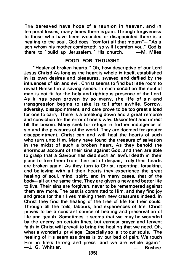The bereaved have hope of a reunion in heaven, and in temporal losses, many times there is gain. Through forgiveness to those who have been wounded or disappointed there is a healing to the soul. God does "comfort all that mourn"-"As a son whom his mother comforteth, so will I comfort you." God is<br>there to "build up Jerusalem." His church. - M. Miles there to "build up Jerusalem," His church.

#### FOOD FOR THOUGHT

"Healer of broken hearts." Oh, how descriptive of our Lord Jesus Christ! As long as the heart is whole in itself, established in its own desires and pleasures, swaved and defiled by the influences of sin and evil, Christ seems to find but little room to reveal Himself in a saving sense. In such condition the soul of man is not fit for the holy and righteous presence of the Lord. As it has been proven by so many, the life of sin and transgression begins to take its toll after awhile. Sorrow, adversity, disappointment, a nd care prove to be too great a load for one to carry. There is a breaking down and a great remorse and conviction for the error of one's way. Discontent a nd unrest fill the bosom. Many seek for refuge in further indulgence of sin and the pleasures of the world. They are doomed for greater disappointment. Christ can and will heal the hearts of such who turn unto Him. Many have found the treasure of salvation in the midst of such a broken heart. As they behold the enormous account of their sins against God, and then are able to grasp that a Saviour has died such an awful death in their place to free them from their pit of despair, truly their hearts are broken again. As they turn to Christ, repenting, forsaking, and believing with all their hearts they experience the great healing of soul, mind, spirit, and in many cases, that of the body-all at the same time. They are given a new and better life to live. Their sins are forgiven, never to be remembered against them any more. The past is committed to Him, and they find joy and grace for their lives making them new creatures indeed. In Christ they find the healing of the tree of life for their souls. Through all the toils, labours, and experiences of life, Christ proves to be a constant source of healing and preservation of life and health. Sometimes it seems that we may be wounded by the enemy on certain lines, but earnest prayer and fervent faith in Christ will prevail to bring the healing that we need. Oh. what a wonderful privilege! Especially so is it to our souls. "The healing of His seamless dress is by our bed of pain; We touch Him in life's throng and press, and we are whole again." -J. G. Whittier. The Contract of the Contract of the Busbee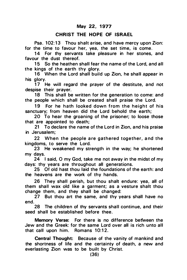# CHRIST THE HOPE OF ISRAEL

Psa. 102:13 Thou shalt arise, and have mercy upon Zion: for the time to favour her, yea, the set time, is come.

14 For thy servants take pleasure in her stones, and favour the dust thereof.

15 So the heathen shall fear the name of the Lord, and all the kings of the earth thy glory.

16 When the Lord shall build up Zion, he shall appear in his glory.

17 He will regard the prayer of the destitute, and not despise their prayer.

18 This shall be written for the generation to come: and the people which shall be created shall praise the Lord.

19 For he hath looked down from the height of his sanctuary; from heaven did the Lord behold the earth;

20 To hear the groaning of the prisoner; to loose those that are appointed to death;

21 To declare the name of the Lord in Zion, and his praise in Jerusalem;

22 When the people are gathered together, and the kingdoms, to serve the Lord.

23 He weakened my strength in the way; he shortened my days.

24 I said, 0 my God, take me not away in the midst of my days: thy years are throughout all generations.

25 Of old hast thou laid the foundations of the earth: and the heavens are the work of thy hands.

26 They shall perish, but thou shalt endure: yea, all of them shall wax old like a garment; as a vesture shalt thou change them, and they shall be changed:

27 But thou art the same, and thy years shall have no end.

28 The children of thy servants shall continue, and their seed shall be established before thee.

Memory Verse: For there is no difference betWeen the Jew and the Greek: for the same Lord over all is rich unto all that call upon him. Romans 10:12.

Central Thought: Because of the vanity of mankind and the shortness of life and the certainty of death, a new and everlasting Zion was to be built by Christ.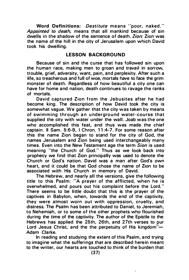Word Definitions: Destitute means "poor, naked." Appointed to death, means that all mankind because of sin dwells in the shadow of the sentence of death. Zion: Zion was the name of the hill in the city of Jerusalem upon which David took his dwelling.

# **LESSON BACKGROUND**

Because of sin and the curse that has followed sin upon the human race, making men to groan and travail in sorrow, trouble, grief, adversity, want, pain, and perplexity. After such a life, so treacherous and full of woe, mortals have to face the grim monster of death. Regardless of how beautiful a city one can have for home and nation, death continues to ravage the ranks of mortals.

David captured Zion from the Jebusites after he had become king. The description of how David took the city is somewhat vague. We gather that the city was taken by means of swimming through an underground water-course that supplied the city with water under the wall. Joab was the one who accomplished this feat, and thus was made the chief captain. II Sam. 5:6-9, I Chron. 11 :4-7. For some reason after this the name Zion began to stand for the city of God, the names Jerusalem and Zion being used interchangeably many times. Even into the New Testament age the term Sion is used meaning "the Church of God." Thus as we look back into prophecy we find that Zion principally was used to denote the Church or God's nation. David was a man after God's own heart, and it could be that God chose the name of Zion to be associated with His Church in memory of David.

The Hebrew, and nearly all the versions, give the following title to this Psalm: "A prayer of the afflicted, when he is overwhelmed, and pours out his complaint before the Lord." There seems to be little doubt that this is the prayer of the captives in Babylon, when, towards the end of the captivity, they were almost worn out with oppression, cruelty, and distress. The Psalm has been attributed to Daniel, to Jeremiah, to Nehemiah, or to some of the other prophets who flourished during the time of the captivity. The author of the Epistle to the Hebrews has applied the 25th, 26th, and 27th verses to our Lord Jesus Christ, and the the perpetuity of His kingdom"-Adam Clarke.

In reading and studving the extent of this Psalm, and trying to imagine what the sufferings that are described herein meant to the writer, our hearts are touched to think of the burden that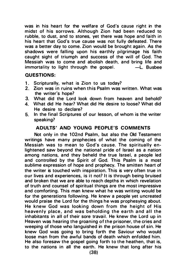was in his heart for the welfare of God's cause right in the midst of his sorrows. Although Zion had been reduced to rubble, to dust, and to stones, yet there was hope and faith in his heart that God's true cause was not fully defeated. There was a better day to come. Zion would be brought again. As the shadows were falling upon his earthly pilgrimage his faith caught sight of triumph and success of the will of God. The Messiah was to come and abolish death, and bring life and immortality to light through the gospel.  $\qquad -1$ . Busbee

# QUESTIONS:

- 1. Scripturally, what is Zion to us today?
- 2. Zion was in ruins when this Psalm was written. What was the writer's hope?
- 3. What did the Lord look down from heaven and behold?
- 4. What did He hear? What did He desire to loose? What did He desire to declare?
- 5. In the final Scriptures of our lesson, of whom is the writer speaking?

# ADULTS' AND YOUNG PEOPLE'S COMMENTS

Not only in the 102nd Psalm, but also the Old Testament writings have many prophecies of what the coming of the Messiah was to mean to God's cause. The spiritually enlightened saw beyond the national pride of Israel as a nation among nations, and they beheld the true Israel, a people led and controlled by the Spirit of God. This Psalm is a most sublime expression of hope and prophecy. The smitten heart of the writer is touched with inspiration. This is very often true in our lives a nd experiences, is it not? It is through being bruised and broken that we are able to reach depths in which revelation of truth and counsel of spiritual things are the most impressive and comforting. This man knew what he was writing would be for the generations following. He knew a people yet uncreated would praise the Lord for the things he was prophesying about. He knew God was looking down from the height of His heavenly place, and was beholding the earth and all the inhabitants in all of their sore travail. He knew the Lord up in Heaven was hearing the groaning of the prisoner, the cries and weeping of those who languished in the prison house of sin. He knew God was going to bring forth the Saviour who would loose man from the awful bands of death which enfolded him. He also foresaw the gospel going forth to the heathen, that is, to the nations in all the earth. He knew that long after his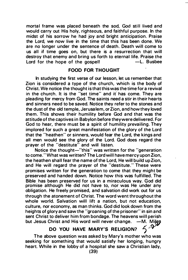mortal frame was placed beneath the sod, God still lived and would carry out His holy, righteous, and faithful purpose. In the midst of his sorrow he had joy and bright anticipation. Praise the Lord, we now live in the time that this has been done. We are no longer under the sentence of death. Death will come to us all if time goes on, but there is a resurrection that will destroy that enemy and bring us forth to eternal life. Praise the Lord for the hone of the gospell  $\qquad -1$ . Bushes Lord for the hope of the gospel!

# FOOD FOR THOUGHT

In studying the first verse of our lesson, let us remember that Zion is considered a type of the church, which is the body of Christ. We notice the thought is that this was the time for a revival in the church. It is the "set time" and it has come. They are pleading for mercy from God. The saints need a stir in their hearts and sinners need to be saved. Notice they refer to the stones a nd the dust of the old temple, Jerusa lem, or Zion, a nd how they loved them. This shows their humility before God and that was the attitude of the captives in Babylon before they were delivered. For God to hear, there must be a spirit of humility prevailing. They implored for such a great manifestation of the glory of the Lord that the "heathen" or sinners, would fear the Lord, the kings and all men would see the glory of the Lord. God does regard the prayer of the "destitute" and will listen.

Notice the thought-"this" was written for the "generation" to come." What was written? The Lord will have mercy upon Zion, the heathen shall fear the name of the Lord, He will build up Zion, and He will regard the prayer of the "destitute." These were promises written for the generation to come that they might be preserved and handed down. Notice how this was fulfilled. The Bible has been preserved for us in a miraculous way. God did promise although He did not have to, nor was He under any obligation. He freely promised, and salvation did work out for us through the atonement of Christ. The word went throughout the whole world. Salvation will lift a nation, but not education, culture, nor economy, as man thinks. God did look down from the heights of glory and saw the "groaning of the prisoner" in sin and sent Christ to deliver him from bondage. The heavens will perish<br>but Jesus Christ and His word will never change. –M. Miles but Jesus Christ and His word will never change.  $-M$ . Mi<br>DO YOU HAVE MADV'S BELICIONS  $\mathbb{Z}/\mathbb{Z}$ 

# DO YOU HAVE MARY'S RELIGION?

The above question was asked by Mary's mother who was seeking for something that would satisfy her longing, hungry heart. While in the lobby of a hospital she saw a Christian lady,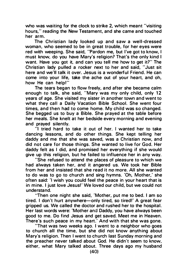who was waiting for the clock to strike 2, which meant "visiting hours," reading the New Testament, and she came and touched her arm.

The Christian lady looked up and saw a well-dressed woman, who seemed to be in great trouble, for her eyes were red with weeping. She said, "Pardon me, but I've got to know, I must know, do you have Mary's religion? That's the only kind I want. Have you got it, and can you tell me how to get it?" The Christian lady pulled a rocker next to her and said, "Just sit here and we'll talk it over. Jesus is a wonderful Friend. He can come into your life, take the ache out of your heart, and oh, how He can help!"

The tears began to flow freely, and after she became calm enough to talk, she said, "Mary was my only child, only 12 years of age. She visited my sister in another town and went to what they call a Daily Vacation Bible School. She went four times, and then had to come home. My child was so changed. She begged us to buy a Bible. She prayed at the table before her meals. She knelt at her bedside every morning and evening and prayed silently.

"I tried hard to take it out of her. I wanted her to take dancing lessons, and do other things. She kept telling her daddy and me that she was saved, was a Christian now, and did not care for those things. She wanted to live for God. Her daddy felt as I did, and promised her everything if she would give up this religion, but he failed to influence her in any way.

"She refused to attend the places of pleasure to which we had always taken her, and it angered us. We took her Bible from her and insisted that she read it no more. All she wanted to do was to go to church and sing hymns. 'Oh, Mother,' she often said: 'I wish you could feel the peace in your heart that is in mine. I just love Jesus! ' We loved our child, but we could not understand.

"Then one night she said, 'Mother, put me to bed. I am so tired. I don't hurt anywhere-only tired, so tired!' A great fear gripped us. We called the doctor and rushed her to the hospital. Her last words were: 'Mother and Daddy, you have always been good to me. Do find Jesus and get saved. Meet me in Heaven. There's such peace in my heart.' And with that she was gone.

"That was two weeks ago. I went to a neighbor who goes to church all the time, but she did not know anything about Mary's religion. Then I went to church last Sunday morning and the preacher never talked about God. He didn't seem to know, either, what Mary talked about. Three days ago my husband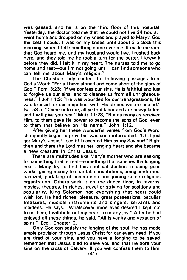was gassed, and he is on the third floor of this hospital. Yesterday, the doctor told me that he could not live 24 hours. I went home and dropped on my knees and prayed to Mary's God the best I could. I was on my knees until about 3 o'clock this morning, when I felt something come over me. It made me sure that God heard me, and my husband would live. I rushed back here, and they told me he took a turn for the better. I knew it before they did. I felt it in my heart. The nurses told me to go home and rest-but I'm not going until I can find someone who can tell me about Mary's religion."

The Christian lady quoted the following passages from God's Word: "For all have sinned and come short of the glory of God." Rom. 3:23; "If we confess our sins, He is faithful and just to forgive us our sins, and to cleanse us from all unrighteousness." I John 1 :9; "He was wounded for our transgressions, He was bruised for our iniquities: with His stripes we are healed." lsa. 53:5; "Come unto me, all ye that labor and a re heavy laden, and I will give you rest." Matt. 11:28, "But as many as received Him, to them gave He power to become the sons of God, even to them that believe on His name." John 1:12.

After giving her these wonderful verses from God's Word, she quietly began to pray, but was soon interrupted: "Oh, I just got Mary's Jesus! I see itl l accepted Him as my Saviour!" Right then and there the Lord met her longing heart and she became a new creature in Christ Jesus.

There are multitudes like Mary's mother who are seeking for something that is real-something that satisfies the longing heart. Many try to find this soul satisfaction in doing good works, giving money to charitable institutions, being confirmed. baptized, partaking of communion and joining some religious organization. Others seek it on the dance floor, in taverns, movies. theatres, in riches, travel or striving for positions and popularity. King Solomon had everything that heart could wish for. He had riches, pleasure, great possessions, peculiar trea sures, musical instruments and singers, servants and maidens. He says, "Whatsoever mine eyes desired I kept not from them. I withheld not my heart from any joy." After he had enjoyed all these things, he said, "All is vanity and vexation of spirit." Eccl. Chapter 2.

Only God can satisfy the longing of the soul. He has made ample provision through Jesus Christ for our every need. If you are tired of your sins, and you have a longing to be saved, remember that Jesus died to save you and that He bore your sins on the cross of Calvary. If you will confess them to Him,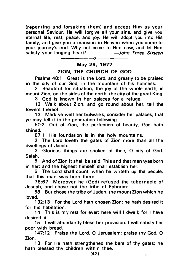(repenting and forsaking them) and accept Him as your personal Saviour, He will forgive all your sins, and give you eternal life, rest, peace, and joy. He will adopt you into His family, and give you a mansion in Heaven when you come to your journey's end. Why not come to Him now, and let Him<br>satisfy your longing heart? - - John Three Sixteen satisfy your longing heart?

#### May 29, 1 977 --- o---

---

----

# **ZION, THE CHURCH OF GOD**

Psalms 48:1 Great is the Lord, and greatly to be praised in the city of our God, in the mountain of his holiness.

2 Beautiful for situation, the joy of the whole earth, is mount Zion, on the sides of the north, the city of the great King.

3 God is known in her palaces for a refuge.

12 Walk about Zion, and go round about her; tell the towers thereof.

13 Mark ye well her bulwarks, consider her palaces; that ye may tell it to the generation following.

50:2 Out of Zion, the perfection of beauty, God hath shined.<br>87:1

His foundation is in the holy mountains.

2 The Lord loveth the gates of Zion more than all the dwellings of Jacob.

3 Glorious things are spoken of thee. O city of God. Selah.

5 And of Zion it shall be said, This a nd that man was born ' in her: and the highest himself shall establish her.

6 The Lord shall count, when he writeth up the people, that this man was born there.

78:67 Moreover he (God) refused the tabernacle of Joseph, and chose not the tribe of Ephraim:

68 But chose the tribe of Judah, the mount Zion which he loved.

132:13 For the Lord hath chosen Zion; he hath desired it for his habitation.

14 This is my rest for ever: here will I dwell; for I have desired it.

15 I will abundantly bless her provision: I will satisfy her poor with bread.

147:12 Praise the Lord, O Jerusalem; praise thy God, O Zion.

13 For He hath strengthened the bars of thy gates; he hath blessed thy children within thee.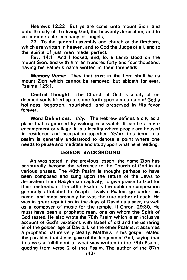Hebrews 12:22 But ye are come unto mount Sion, and unto the city of the living God, the heavenly Jerusalem, and to an innumerable company of angels.

23 To the general assembly and church of the firstborn. which are written in heaven, and to God the Judge of all, and to the spirits of just men made perfect.

Rev. 14:1 And I looked, and, lo, a Lamb stood on the mount Sion, and with him an hundred forty and four thousand, having his Father's name written in their foreheads.

Memory Verse: They that trust in the Lord shall be as mount Zion which cannot be removed, but abideth for ever. Psalms 125:1.

Central Thought: The Church of God is a city of redeemed souls lifted up to shine forth upon a mountain of God's holiness, begotten, nourished, and preserved in His favor forever.

Word Definitions: City: The Hebrew defines a city as a place that is guarded by waking or a watch. It can be a mere encampment or village. It is a locality where people are housed in residence and occupation together. Selah: this term in a psalm is generally understood to denote a point where one needs to pause a nd meditate and study upon what he is reading.

#### LESSON BACKGROUND

As was stated in the previous lesson, the name Zion has scripturally become the reference to the Church of God in its various phases. The 48th Psalm is thought perhaps to have been composed and sung upon the return of the Jews to Jerusalem from Babylonian captivity, to give praise to God for their restoration. The 50th Psalm is the sublime composition generally attributed to Asaph. Twelve Psalms go under his name, and most probably he was the true author of each. He was in great reputation in the days of David as a seer, as well as a composer of music for the temple. II Chron. 29:30. He must have been a prophetic man, one on whom the Spirit of God rested. He also wrote the 78th Psalm which is an inclusive account of God's vexations with Israel of old and the ushering in of the golden age of David. Like the other Psalms, it assumes a prophetic nature very clearly. Matthew in his gospel related the parables that Jesus gave of the kingdom of God, saying that this was a fulfillment of what was written in the 78th Psalm, quoting from verse 2 of that Psalm. The author of the 87th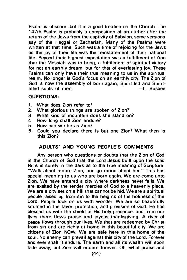Psalm is obscure. but it is a good treatise on the Church. The 147th Psalm is probably a composition of an author after the return of the Jews from the captivity of Babylon, some versions say of the Haggai or Zechariah. Many of the Psalms were written at that time. Such was a time of rejoicing for the Jews as the joy of their life was the reinstatement of their national life. Beyond their highest expectation was a fulfillment of Zion that the Messiah was to bring, a fulfillment of spiritual victory for not an earthly dream, but for that of everlasting joy. These Psalms can only have their true meaning to us in the spiritual realm. No longer is God's focus on an earthly city. The Zion of God is now the assembly of born-again, Spirit-led and Spirit-<br>filled souls of men.<br>—L. Busbee filled souls of men.

# QUESTIONS:

- 1. What does Zion refer to?<br>2. What glorious things are
- What glorious things are spoken of Zion?
- 3. What kind of mountain does she stand on?
- 4. How long shall Zion endure?<br>5. How can we be as Zion?
- 5. How can we be as Zion?
- 6. Could you declare there is but one Zion? What then is this Zion?

# ADULTS' AND YOUNG PEOPLE'S COMMENTS

Any person who questions or doubts that the Zion of God is the Church of God that the Lord Jesus built upon the solid Rock is surely in the dark as to the true meaning of Scripture. "Walk about mount Zion, and go round about her." This has special meaning to us who are born again. We are come unto Zion. We have entered a city where darkness never falls. We are exalted by the tender mercies of God to a heavenly place. We are a city set on a hill that cannot be hid. We are a spiritual people raised up from sin to the heights of the holiness of the Lord. People look on us with wonder. We are so beautifully situated in the favor, protection, and provision of God. He has blessed us with the shield of His holy presence, and from our lives there flows praise and joyous thanksgiving. A river of peace flows through our lives. We that are redeemed by Christ from sin and are richly at home in this beautiful city. We are citizens of Zion NOW. We are safe here in this home of the soul. No enemy can prevail against this city of the Lord. Forever and ever shall it endure. The earth and all its wealth will soon fade away, but Zion will endure forever. Oh, what praise and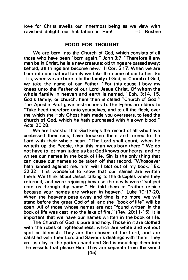love for Christ swells our innermost being as we view with ravished delight our habitation in Him! -L. Busbee

#### FOOD FOR THOUGHT

We are born into the Church of God, which consists of all those who have been "born again." John 3:7. "Therefore if any man be in Christ, he is a new creature: old things are passed away; behold, all things are become new." II Cor. 5:17. When we are born into our natural family we take the name of our father. So it is, when we are born into the family of God, or Church of God, we take the name of our Father. "For this cause I bow my knees unto the Father of our Lord Jesus Christ, Of whom the whole family in heaven and earth is named." Eph.  $3:14, 15$ . God's family, or church, here then is called "Church of God." The Apostle Paul gave instructions to the Ephesian elders to "Take heed therefore unto yourselves, and to all the flock, over the which the Holy Ghost hath made you overseers, to feed the church of God, which he hath purchased with his own blood." Acts 20:28.

We are thankful that God keeps the record of all who have confessed their sins, have forsaken them and turned to the Lord with their whole heart. "The Lord shall count, when he writeth up the People, that this man was born there." We do not have to let man judge us but God knows our hearts, a nd He writes our names in the book of life. Sin is the only thing that can cause our names to be taken off that record. "Whosoever hath sinned against me, him will I blot out of my book." Ex. 32:32. It is wonderful to know that our names are written there. We think about Jesus talking to the disciples when they returned, and were rejoicing because the devils were "subject unto us through thy name." He told them to "rather rejoice because your names are written in heaven." Luke 10:17-20. When the heavens pass away and time is no more, we will stand before the great God of all and the "book of life" will be open. All of those whose names are not "found written in the book of life was cast into the lake of fire." (Rev. 20:11-15). It is important that we have our names written in the book of life.

The Church of God is pure and holy. Those in it are clothed with the robes of righteousness, which are white and without spot or blemish. They are the chosen of the Lord, and are satisfied with their Lord and Saviour's dealings with them. They are as clay in the potters hand and God is moulding them into the vessels that please Him. They are separate from the world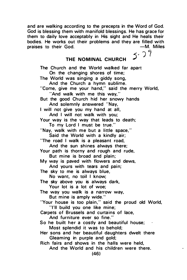and are walking according to the precepts in the Word of God. God is blessing them with manifold blessings. He has grace for them to daily love acceptably in His sight and He heals their bodies. He works out their problems and they are filled with<br>praises to their God praises to their God.

# THE NOMINAL CHURCH  $5.29$

The Church and the World walked far apart On the changing shores of time; The World was singing a giddy song, And the Church a hymn sublime. "Come, give me your hand," said the merry World, "And walk with me this way." But the good Church hid her snowy hands And solemnly answered "Nay, I will not give you my hand at all. And I will not walk with you: Your way is the way that leads to death; To my Lord I must be true." "Nay, walk with me but a little space," Said the World with a kindly air; 'The road I walk is a pleasant road, And the sun shines always there: Your path is thorny and rough and rude, But mine is broad and plain; My way is paved with flowers and dews, And yours with tears and pain: The sky to me is always blue, No want, no toil I know; The sky above you is always dark. Your lot is a lot of woe; The way you walk is a narrow way, But mine is amply wide." "Your house is too plain," said the proud old World, 'Til build you one like mine; Carpets of Brussels and curtains of lace. And furniture ever so fine." So he built her a costly and beautiful house; Most splendid it was to behold; Her sons and her beautiful daughters dwelt there Gleaming in purple and gold; Rich fairs a nd shows in the halls were held, And the World and his children were there.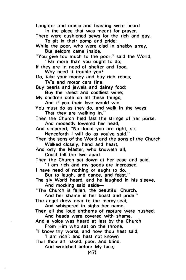Laughter and music and feasting were heard In the place that was meant for prayer. There were cushioned pews for the rich and gay. To sit in their pomp and pride; While the poor, who were clad in shabby array, But seldom came inside. "You give too much to the poor," said the World, "Far more than you ought to do; If they are in need of shelter and food. Why need it trouble you? Go, take your money and buy rich robes, TV's and motor cars fine, Buy pearls and jewels and dainty food; Buy the rarest and costliest wine; My children dote on all these things, And if you their love would win, You must do as they do, and walk in the ways That they are walking in." Then the Church held fast the strings of her purse, And modestly lowered her head, And simpered, "No doubt you are right, sir; Henceforth I will do as you've said." Then the sons of the World and the sons of the Church Walked closely, hand and heart, And only the Master, who knoweth all, Could tell the two apart. Then the Church sat down at her ease and said, "I am rich and my goods are increased, I have need of nothing or aught to do, But to laugh, and dance, and feast." The sly World heard, and he laughed in his sleeve, And mocking said aside-"The Church is fallen, the beautiful Church, And her shame is her boast and pride." The angel drew near to the mercy-seat. And whispered in sighs her name, Then all the loud anthems of rapture were hushed,

And heads were covered with shame.

And a voice was heard at last by the Church From Him who sat on the throne,

"I know thy works, and how thou hast said,

'I am rich'; and hast not known

That thou art naked, poor, and blind.

And wretched before My face;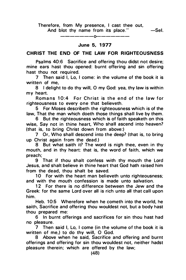#### Therefore, from My presence, I cast thee out, And blot thy name from its place." $-$ Sel.

#### -------o-------

#### June 5, 1 977

# CHRIST THE END OF THE LAW FOR RIGHTEOUSNESS

Psalms 40:6 Sacrifice and offering thou didst not desire; mine ears hast thou opened: burnt offering and sin offering hast thou not required.

7 Then said I, Lo, I come: in the volume of the book it is written of me,

8 I delight to do thy will, O my God: yea, thy law is within my heart.

Romans 10:4 For Christ is the end of the law for righteousness to every one that believeth.

5 For Moses describeth the righteousness which is of the law, That the man which doeth those things shall live by them.

6 But the righteousness which is of faith speaketh on this wise, Say not in thine heart, Who shall ascend into heaven? (that is, to bring Christ down from above:)

7 Or, Who shall descend into the deep? (that is, to bring up Christ again from the dead.)

8 But what saith it? The word is nigh thee, even in thy mouth, and in thy heart: that is, the word of faith, which we preach;

9 That if thou shalt confess with thy mouth the Lord Jesus, and shalt believe in thine heart that God hath raised him from the dead, thou shalt be saved.

10 For with the heart man believeth unto righteousness; and with the mouth confession is made unto salvation.

12 For there is no difference between the Jew and the Greek: for the same Lord over all is rich unto all that call upon him.

Heb. 10:5 Wherefore when he cometh into the world, he saith, Sacrifice and offering thou wouldest not, but a body hast thou prepared me:

6 In burnt offerings and sacrifices for sin thou hast had no pleasure.

7 Then said I, Lo, I come (in the volume of the book it is written of me,) to do thy will, 0 God.

8 Above when he said, Sacrifice and offering and burnt offerings and offering for sin thou wouldest not, neither hadst pleasure therein; which are offered by the law;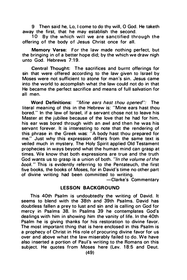9 Then said he, Lo, I come to do thy will, O God. He taketh away the first, that he may establish the second.

 $10$  By the which will we are sanctified through the offering of the body of Jesus Christ once for all.

Memory Verse: For the law made nothing perfect, but the bringing in of a better hope did; by the which we draw nigh unto God. Hebrews  $7.19$ .

Central Thought: The sacrifices and burnt offerings for sin that were offered according to the law given to Israel by Moses were not sufficient to atone for man's sin. Jesus came into the world to accomplish what the law could not do in that He became the perfect sacrifice and means of full salvation for all men.

Word Definitions: "Mine ears hast thou opened": The literal meaning of this in the Hebrew is: "Mine ears hast thou bored." In the law of Israel, if a servant chose not to leave his Master at the jubilee because of the love that he had for him, his ear was bored through with an awl and then he was his servant forever. It is interesting to note that the rendering of this phrase in the Greek was: "A body hast thou prepared for me." Just why this expression differs from the same text is veiled much in mystery. The Holy Spirit applied Old Testament prophecies in ways beyond what the human mind can grasp at times. We know that both expressions are true and the truth God wants us to grasp is a union of both. "In the volume of the book." This is evidently referring to the Pentateuch, the first five books, the books of Moses, for in David's time no other part of divine writing had been committed to writing.

-Clarke's Commentary

#### LESSON BACKGROUND

This 40th Psalm is undoubtedly the writing of David. It seems to blend with the 38th and 39th Psalms. David has doubtless fallen a prey to lust a nd sin and is calling on God for mercy in Psalms 38. In Psalms 39 he contemplates God's dealings with him in showing him the vanity of life. In the 40th Psalm he is giving thanks for his restoration to divine favor. The most important thing that is here enclosed in this Psalm is a prophecy of Christ in His role of procuring divine favor for us over and above what the law miserably failed to do. We have also inserted a portion of Paul's writing to the Romans on this subject. He quotes from Moses here (Lev. 18:5 and Deut.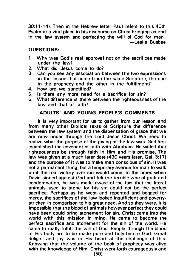30: 1 1 -1 4). Then in the Hebrew letter Paul refers to this 40th Psalm at a vital place in his discourse on Christ bringing an end to the law system and perfecting the will of God for man. -Leslie Busbee

### QUESTIONS:

- 1. Why was God's real approval not on the sacrifices made under the law?
- 2. What did Jesus come to do?<br>3. Can you see any association b
- Can you see any association between the two expressions in the lesson that come from the same Scripture, the one in the prophecy and the other in the fulfillment?
- 4. How are we sanctified?
- 5. Is there any more need for a sacrifice for sin?
- 6. What difference is there between the righteousness of the law and that of faith?

### ADULTS' AND YOUNG PEOPLE'S COMMENTS

It is very important for us to gather from our lesson and from many other Biblical texts of Scripture the difference between the law system and the dispensation of grace that we are now under through the Lord Jesus Christ. We need to realize what the purpose of the giving of the law was. God first established the covenant of faith with Abraham. He willed that righteousness be through faith in Him and His promise. The law was given at a much later date (430 years later, Gal. 3:17) and the purpose of it was to make man conscious of sin. It was not a permanent thing, but a temporary avenue for man to walk until the real victory over sin would come. In the times when David sinned against God and felt the terrible woe of guilt and condemnation, he was made aware of the fact that the literal animals used to atone for his sin could not be the perfect sacrifice. Perhaps as he wept and repented and begged for mercy, the sacrifices of the law looked insufficient and poverty• stricken in comparison to his great need. And so they were. It is impossible that the blood of animals however perfect they could have been could bring atonement for sin. Christ came into the world with this mission in mind. He came to become the perfect sacrifice and atonement for the sin of the world. He came to really fulfill the will of God. People through the blood of His body are to be made pure and holy before God. Great delight and joy was in His heart at the challenge of this. Knowing that the volume of the book of prophecy was alive with the knowledge of Him, Christ went forth courageously and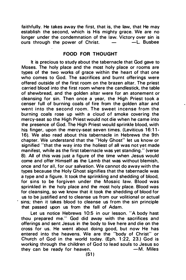faithfully. He takes away the first, that is, the law, that He may establish the second, which is His mighty grace. We are no longer under the condemnation of the law. Victory over sin is<br>ours through the nower of Christ  $\begin{array}{ccc} - & -L \\ - & -L \end{array}$  Busbee ours through the power of Christ.

### FOOD FOR THOUGHT

It is precious to study about the tabernacle that God gave to Moses. The holy place and the most holy place or rooms are types of the two works of grace within the heart of that one who comes to God. The sacrifices and burnt offerings were offered outside of the first room on the brazen altar. The priest carried blood into the first room where the candlestick, the table of shewbread, and the golden altar were for an atonement or cleansing for sin. Then once a year, the High Priest took a censer full of burning coals of fire from the golden altar and went into the second room. The sweet incense from the burning coals rose up with a cloud of smoke covering the mercy-seat so the High Priest would not die when he came into the presence of God. The High Priest would sprinkle blood, with his finger, upon the mercy-seat seven times. (Leviticus 16:11-16). We also read about this tabernacle in Hebrews the 9th chapter. We understand that the "Holy Ghost" let us know or signified "that the way into the holiest of all was not yet made manifest, while as the first tabernacle was yet standing." (verse 8). All of this was just a figure of the time when Jesus would come and offer Himself as the Lamb that was without blemish, once and for all, for our salvation. We cannot do away with the types beca use the Holy Ghost signifies that the tabernacle was a type and a figure. It took the sprinkling and shedding of blood, for sins to be forgiven under the Mosaic law. Blood was sprinkled in the holy place and the most holy place. Blood was for cleansing, so we know that it took the shedding of blood for us to be justified and to cleanse us from our volitional or actual sins; then it takes blood to cleanse us from the sin principle that passed upon us from the fall of Adam.

Let us notice Hebrews 10:5 in our lesson. "A body hast thou prepared me." God did away with the sacrifices and offerings and sent Jesus in the body to live here and die on the cross for us. He went about doing good, but now He has entered into the heavens. We are the "body of Christ" or Church of God in the world today. (Eph. 1 :22, 23.) God is working through the children of God to lead souls to Jesus so they can be ready for heaven.  $-M$ . Miles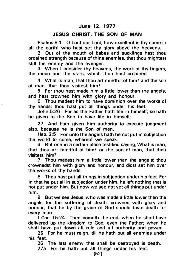# JESUS CHRIST, THE SON OF MAN

Psalms 8:1 0 Lord our Lord, how excellent is thy name in all the earthl who hast set thy glory above the heavens.

2 Out of the mouth of babes and sucklings hast thou ordained strength because of thine enemies, that thou mightest still the enemy and the avenger.

3 When I consider thy heavens, the work of thy fingers, the moon and the stars, which thou hast ordained;

4 What is man, that thou art mindful of him? and the son of man, that thou visitest him?

5 For thou hast made him a little lower than the angels, and hast crowned him with glory and honour.

6 Thou madest him to have dominion over the works of thy hands; thou hast put all things under his feet.

John 5:26 For as the Father hath life in himself; so hath he given to the Son to have life in himself;

27 And hath given him authority to execute judgment also, because he is the Son of man.

Heb. 2:5 For unto the angels hath he not put in subjection the world to come, whereof we speak.

6 But one in a certain place testified saying, What is man, that thou art mindful of him? or the son of man, that thou visitest him?

7 Thou madest him a little lower than the angels: thou crownedst him with glory and honour, and didst set him over the works of thy hands.

8 Thou hast put all things in subjection under his feet. For in that he put all in subjection under him, he left nothing that is not put under him. But now we see not yet all things put under him.

9 But we see Jesus, who was made a little lower than the angels for the suffering of death, crowned with glory and honour; that he by the grace of God should taste death for every man.

I Cor. 15:24 Then cometh the end, when he shall have delivered up the kingdom to God, even the Father; when he shall have put down all rule and all authority and power.

25 For he must reign, till he hath put all enemies under his feet.

26 The last enemy that shall be destroyed is death.

27a For he hath put all things under his feet.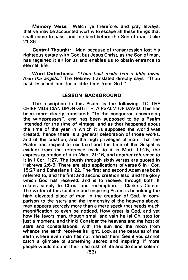Memory Verse: Watch ye therefore, and pray always, that ye may be accounted worthy to escape all these things that shall come to pass, and to stand before the Son of man. Luke 21 :36.

Central Thought: Man because of transgression lost his righteous estate with God, but Jesus Christ, as the Son of man, has regained it all for us and enables us to obtain entrance to eternal life.

Word Definitions: "Thou hast made him a little lower than the angels." The Hebrew translated directly says: "Thou hast lessened him for a little time from God."

#### LESSON BACKGROUND

The inscription to this Psalm is the following: TO THE CHIEF MUSICIAN UPON GITTITH, A PSALM OF DAVID. This has been more clearly translated: "To the conqueror, concerning the winepresses"; and has been supposed to be a Psalm intended for the time of vintage: and as that happened about the time of the year in which it is supposed the world was created, hence there is a general celebration of those works, and of the creation, and the high privileges of man. That the Psalm has respect to our Lord and the time of the Gospel is evident from the reference made to it in Matt. 11 :25, the express quotation of it in Matt. 21:16, and another reference to it in I Cor. 1:27. The fourth through sixth verses are quoted in Hebrews 2:6-9. There are also applications of verse 6 in I Cor. 1 5:27 a nd Ephesians 1 :22. The first and second Adam are both referred to, and the first and second creation also; and the glory which God has received; and is to receive, through both. It relates simply to Christ and redemption. - Clarke's Comm. The writer of this sublime and inspiring Psalm is beholding the high elevated place of man in the creation of God. In comparison to the stars and the immensity of the heavens above, man appears scarcely more than a mere speck that needs much magnification to even be noticed. How great is God, and yet how He favors man, though small and vain he is! Oh, stop for just a moment, and think! Consider the heavens and the host of stars and constellations, with the sun and the moon from whence the earth receives its light. Look at the beauties of the earth where even man has not marred them. See if you cannot catch a glimpse of something sacred and inspiring. If more people would stop in their mad rush of life and do some solemn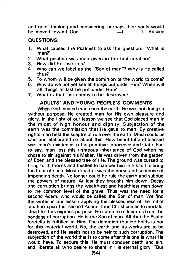and quiet thinking and considering, perhaps their souls would<br>be moved toward God  $\qquad -1$   $\qquad$  -1. Busbee be moved toward  $God$   $-1$ 

# QUESTIONS:

- 1. What caused the Psalmist to ask the question: "What is man?"
- 2. What position was man given in the first creation?<br>3. How did he lose this?
- 3. How did he lose this?<br> $\frac{4}{5}$  Who can we label as 1
- 4. Who can we label as the "Son of man"? Why is He called thus?
- 5. To whom will be given the dominion of the world to come?
- 6. Why do we not yet see all things put under Him? When will all things at last be put under Him?
- 7. What is that last enemy to be destroyed?

# ADULTS' AND YOUNG PEOPLE'S COMMENTS

When God created man upon the earth, He was not doing so without purpose. He created man for His own pleasure and glory. In the light of our lesson we see that God placed man in the midst of high honour and dignity. Subjection of the earth was the commission that He gave to man. By creative rights man held the sceptre of rule over the earth. M uch could be said and elaborated on about this. How beautiful and blessed was man's existence in his primitive innocence a nd state. Sad to say, man lost this righteous inheritance of God when he chose to sin against his Maker. He was driven from the garden of Eden and the blessed tree of life. The ground was cursed to bring forth thorns and thistles to hamper him in his toil to bring food out of such. Most dreadful was the curse and sentence of impending death. No longer could he rule the earth and subdue the powers of nature. At last they brought him down. Decay and corruption brings the wealthiest and healthiest men down to the common level of the grave. Thus was the need for a second Adam, who would be called the Son of man. We find the writer in our lesson applying the blessedness of the initial creation upon this second Adam. Thus Christ comes to mortals' stead for this express purpose. He came to redeem us from the bondage of corruption. He is the Son of man. All that the Psalm foretells is fulfilled in Him. The dominion that He holds is not for this material world. No, the earth and its works are to be destroyed, and He seeks not to be heir to such corruption. The subjection of the world that is to come after this one is what He would have. To secure this, He must conquer death and sin, and liberate all who desire to share in His eternal glory. "But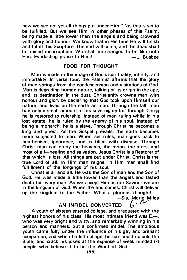now we see not yet all things put under Him." No, this is yet to be fulfilled. But we see Him in other phases of this Psalm, being made a little lower than the angels and being crowned with glory and honour. We know that in His time He will finish and fulfill this Scripture. The end will come, and the dead shall be raised incorruptible. We shall be changed to be like unto<br>Him. Everlasting praise to Him.! – L. Busbee Him. Everlasting praise to Him.!

#### FOOD FOR THOUGHT

Man is made in the image of God's spirituality, infinity, and immortality. In verse four, the Psalmist affirms that the glory of man springs from the condescension and visitations of God. Man is degrading human nature, talking of its origin in the ape. and its destination in the dust. Christianity crowns man with honour and glory by declaring that God took upon Himself our nature, and lived on the earth as man. Through the fall, man had only a small amount of his sovereignty but through Christ he is restored to rulership. Instead of man ruling while in his lost estate, he is ruled by the enemy of his soul. Instead of being a monarch, he is a slave. Through Christ he becomes a king and priest. As the Gospel prevails, the earth becomes more subjected to man. When sin rules, man goes back to heathenism, ignorance, and is filled with disease. Through Christ man can enjoy the heavens, the moon, the stars, and most of all-healing and salvation. Jesus Christ is a Restorer of that which is lost. All things are put under Christ. Christ is the true Lord of all. In Him man reigns, in Him man shall find fulfillment of the longings of his soul.

Christ is all and all. He was the Son of man and the Son of God. He was made a little lower than the angels and tasted death for every man. As we accept Him as our Saviour we are in the kingdom of God. When the end comes, Christ will deliver up the kingdom to the Father. What a glorious thought!

-Sis. Marie Miles<br>ED / /

# AN INFIDEL CONVERTED

A youth of sixteen entered college, and graduated with the highest honors of his class. His most intimate friend was  $E -$ . who was very bright and witty, and remarkably winning in his person and manners, but a confirmed infidel. The ambitious youth came fully under the influence of his gay and brilliant companion, and when he left college, he too, could ridicule the Bible, and crack his jokes at the expense of weak minded (7) people who believe it to be the Word of God.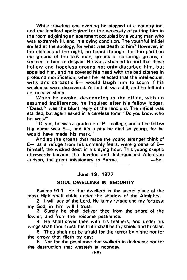While traveling one evening he stopped at a country inn, and the landlord apologized for the necessity of putting him in the room adjoining an apartment occupied by a young man who was extremely ill, and in a dying condition. The youthful infidel smiled at the apology, for what was death to him? However, in the stillness of the night, he heard through the thin partition the groans of the sick man; groans of suffering; groans, it seemed to him, of despair. He was ashamed to find that these hollow and hopeless groans not only disturbed him, but appalled him, and he covered his head with the bed clothes in profound mortification, when he reflected that the intellectual, witty and sarcastic  $E-$  would laugh him to scorn if his weakness were discovered. At last all was still, and he fell into an uneasy sleep.

When he awoke, descending to the office, with an assumed indifference, he inquired after his fellow lodger. "Dead," was the blunt reply of the landlord. The infidel was startled, but again asked in a careless tone: "Do you know who he was?"

 $"$ O, yes, he was a graduate of P $-$  college, and a fine fellow His name was  $E -$ , and it's a pity he died so young, for he would have made his mark."

And so the groans that made the young stranger think of  $E-$  as a refuge from his unmanly fears, were groans of  $E$ himself, the wicked deist in his dying hour. This young skeptic afterwards became the devoted and distinguished Adoniram<br>Judson, the great missionary to Burma – Sel Judson, the great missionary to Burma.

# June 19, 1977

# SOUL DWELLING IN SECURITY

Psalms 91:1 He that dwelleth in the secret place of the most High shall abide under the shadow of the Almighty.

2 I will say of the Lord. He is my refuge and my fortress: my God; in him will I trust.

3 Surely he shall deliver thee from the snare of the fowler, and from the noisome pestilence.

4 He shall cover thee with his feathers, and under his wings shalt thou trust: his truth shall be thy shield and buckler.

5 Thou shalt not be afraid for the terror by night; nor for the arrow that flieth by day;

6 Nor for the pestilence that walketh in darkness; nor for the destruction that wasteth at noonday.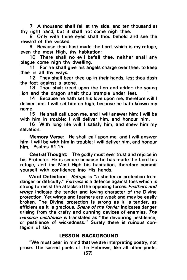7 A thousand shall fall at thy side, and ten thousand at thy right hand; but it shall not come nigh thee.

8 Only with thine eyes shalt thou behold and see the reward of the wicked.

9 Because thou hast made the Lord, which is my refuge, even the most High, thy habitation;

10 There shall no evil befall thee, neither shall any plague come nigh thy dwelling.

11 For he shall give his angels charge over thee, to keep thee in all thy ways.

12 They shall bear thee up in their hands, lest thou dash thy foot against a stone.

13 Thou shalt tread upon the lion and adder: the young lion and the dragon shalt thou trample under feet.

14 Because he hath set his love upon me, therefore will I deliver him: I will set him on high, because he hath known my name.

15 He shall call upon me, and I will answer him: I will be with him in trouble; I will deliver him, and honour him.

16 With long life will I satisfy him, and shew him my salvation.

Memory Verse: He shall call upon me, and I will answer him: I will be with him in trouble: I will deliver him, and honour him. Psalms  $91:15$ .

Central Thought: The godly must ever trust and rejoice in his Protector. He is secure because he has made the Lord his refuge, and the Most High his habitation, therefore commit yourself with confidence into His hands.

Word Definition: Refuge is "a shelter or protection from danger or difficulty." Fortress is a defence against foes which is strong to resist the attacks of the opposing forces. Feathers and wings indicate the tender and loving character of the Divine protection. Yet wings and feathers are weak a nd may be easily broken. The Divine protection is strong as it is tender, as efficient as it is gracious. Snare of the fowler indicates danger arising from the crafty and cunning devices of enemies. The noisome pestilence is translated as "the devouring pestilence; or pestilence of wickedness." Surely there is ruinous contagion of sin.

# **LESSON BACKGROUND**

"We must bear in mind that we are interpreting poetry, not prose. The sacred poets of the Hebrews, like all other poets,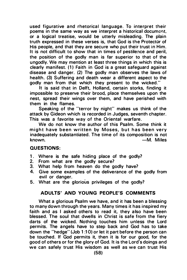used figurative and rhetorical language. To interpret their poems in the same way as we interpret a historical document. or a logical treatise, would be utterly misleading. The plain truth expressed in these verses is, that God is the Protector of His people, and that they are secure who put their trust in Him. It is not difficult to show that in times of pestilence and peril, the position of the godly man is far superior to that of the ungodly. We may mention at least three things in which this is clearly manifest. (1) Faith in God is a great safeguard against disease and danger. (2) The godly man observes the laws of health. (3) Suffering and death wear a different aspect to the godly man from that which they present to the wicked."

It is said that in Delft, Holland, certain storks, finding it impossible to preserve their brood, place themselves upon the nest, spread their wings over them, and have perished with them in the flames.

Speaking of the "terror by night" makes us think of the attack by Gideon which is recorded in Judges, seventh chapter. This was a favorite way of the Oriental warfare.

We do not know the author of this Psalm. Some think it might have been written by Moses, but has been very inadequately substantiated. The time of its composition is not known. **-M. Miles** 

### QU ESTIONS:

- 1. Where is the safe hiding place of the godly?
- 2. From what are the godly secure?
- 3. What help from heaven do the godly have?
- 4. Give some examples of the deliverance of the godly from evil or danger.
- 5. What are the glorious privileges of the godly?

# ADULTS' AND YOUNG PEOPLE'S COMMENTS

What a glorious Psalm we have, and it has been a blessing to many down through the years. Many times it has inspired my faith and as I asked others to read it, they also have been blessed. The soul that dwells in Christ is safe from the fiery darts of the wicked. Nothing touches him unless the Lord permits. The angels have to step back and God has to take down the "hedge" (Job 1 :1 0) or let it part before the person can be touched. If God permits it, then it is for our good, for the good of others or for the glory of God. It is the Lord's doings and we can safely trust His wisdom as well as we can trust His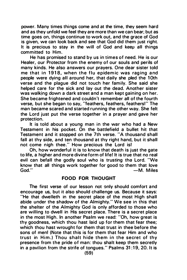power. Many times things come and at the time, they seem hard and as they unfold we feel they are more than we can bear; but as time goes on, things continue to work out, and the grace of God is given, we can look back and see that God did them just right. It is precious to stay in the will of God and keep all things committed to Him.

He has promised to stand by us in times of need. He is our Healer, our Protector from the enemy of our souls and perils of many kinds. He also answers our prayers. One dear sister told me that in 1918, when the flu epidemic was raging and people were dying all around her, that daily she pled the 10th verse and the plague did not touch her family. She said she helped care for the sick and lay out the dead. Another sister was walking down a dark street and a man kept gaining on her. She became frightened and couldn't remember all of the fourth verse, but she began to say, "feathers, feathers, feathers!" The man became scared and started running the other way. She felt the Lord just put the verse together in a prayer and gave her protection.

It is told about a young man in the war who had a New Testament in his pocket. On the battlefield a bullet hit that Testament and it stopped on the 7th verse. "A thousand shall fall at thy side, and ten thousand at thy right hand, but it shall not come nigh thee." How precious the Lord is!

Oh, how wonderful it is to know that death is just the gate to life, a higher and more divine form of life! It is true that no real evil can befall the godly soul who is trusting the Lord. "We know that all things work together for good to them that love  $-M.$  Miles

# FOOD FOR THOUGHT

The first verse of our lesson not only should comfort and encourage us, but it also should challenge us. Because it says: "He that dwelleth in the secret place of the most High shall abide under the shadow of the Almighty." We see in this that the shelter of the Almighty God is only afforded to those who are willing to dwell in His secret place. There is a secret place in the most High. In another Psalm we read: "Oh, how great is thy goodness, which thou hast laid up for them that fear thee; which thou hast wrought for them that trust in thee before the sons of menl (Note that this is for them that fear Him and who trust in Him.) Thou shalt hide them in the secret of thy presence from the pride of man: thou shalt keep them secretly in a pavilion from the strife of tongues." Psalms  $31:19$ , 20. It is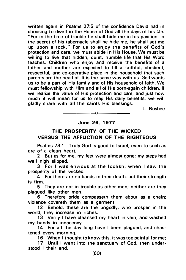written again in Psalms 27:5 of the confidence David had in choosing to dwell in the House of God all the days of his life: "For in the time of trouble he shall hide me in his pavilion: in the secret of his tabernacle shall he hide me; he shall set me up upon a rock." For us to enjoy the benefits of God's protection and care, we must abide in His House. We must be willing to live that hidden, quiet, humble life that His Word teaches. Children who enjoy and receive the benefits of a father and mother are expected to fill a faithful, obedient, respectful, and co-operative place in the household that such parents are the head of. It is the same way with us. God wants us to be a part of His family and of His household of faith. We must fellowship with Him and all of His born-again children. If we realize the value of His protection and care, and just how much it will mean for us to reap His daily benefits, we will gladly share with all the saints His blessings.

-L. Busbee

# June 26, 1977

-------------.o------

# THE PROSPERITY OF THE WICKED VERSUS THE AFFLICTION OF THE RIGHTEOUS

Psalms 73:1 Truly God is good to Israel, even to such as are of a clean heart.

2 But as for me, my feet were almost gone; my steps had well nigh slipped.

3 For I was envious at the foolish, when I saw the prosperity of the wicked.

4 For there are no bands in their death: but their strength is firm.

5 They are not in trouble as other men; neither are they plagued like other men.

6 Therefore pride compasseth them about as a chain; violence covereth them as a garment.

12 Behold, these are the ungodly, who prosper in the world; they increase in riches.

13 Verily I have cleansed my heart in vain, and washed my hands in innocency.

14 For all the day long have I been plagued, and chastened every morning.

16 When I thought to know this, it was too painful for me;

17 Until I went into the sanctuary of God; then understood I their end.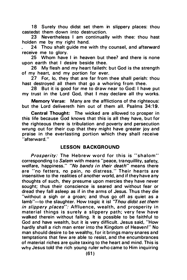18 Surely thou didst set them in slippery places: thou castedst them down into destruction.

23 Nevertheless I am continually with thee: thou hast holden me by my right hand.

24 Thou shalt quide me with thy counsel, and afterward receive me to glory.

25 Whom have I in heaven but thee? and there is none upon earth that I desire beside thee.

26 My flesh and my heart faileth: but God is the strength of my heart, a nd my portion for ever.

27 For, lo, they that are far from thee shall perish: thou hast destroyed all them that go a whoring from thee.

28 But it is good for me to draw near to God: I have put my trust in the Lord God, that I may declare all thy works.

Memory Verse: Many are the afflictions of the righteous: but the Lord delivereth him out of them all. Psalms 34:19.

Central Thought: The wicked are a llowed to prosper in this life because God knows that this is all they have, but for the righteous there is tribulation and poverty and persecution wrung out for their cup that they might have greater joy and praise in the everlasting portion which they shall receive "afterward."

# LESSON BACKGROUND

Prosperity: The Hebrew word for this is "shalom" corresponding to Salem with means "peace, tranquillity, safety, welfare, happiness." "No bands in their death" means there are "no fetters, no pain, no distress." Their hearts are insensitive to the realities of a nother world, and if they have a ny thoughts of such, they presume upon mercies they have never sought; thus their conscience is seared and without fear or dread they fall asleep as if in the a rms of Jesus. Thus they die "without a sigh or a groan; and thus go off as quiet as a lamb"-to the slaughter. How tragic it isl "Thou didst set them in slippery places": Affluence, wealth, and prosperity in material things is surely a slippery path; very few have walked therein without falling. It is possible to be faithful to God and have wealth, but it is very difficult. Jesus said, "How hardly shall a rich man enter into the Kingdom of Heaven!" No man should desire to be wealthy, for it brings many snares a nd temptations that few are able to resist, and the encumbrances of material riches are quite taxing to the heart a nd mind. This is why Jesus told the rich young ruler who came to Him inquiring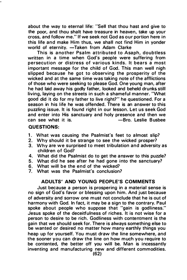about the way to eternal life: "Sell that thou hast and give to the poor, and thou shalt have treasure in heaven, take up your cross, and follow me." If we seek not God as our portion here in this life and make Him thus, we shall not find Him in yonder world of eternity. -Taken from Adam Clarke

This is another Psalm attributed to Asaph, doubtless written in a time when God's people were suffering from persecution or distress of various kinds. It bears a most important message for the child of God. This man well nigh slipped because he got to observing the prosperity of the wicked and at the same time was taking note of the afflictions of those who were seeking to please God. One young man, after he had laid away his godly father, looked and beheld drunks still living, laying on the streets in such a shameful manner. "What good did it do for my father to live right?" he questioned. For a season in his life he was offended. There is an answer to this puzzling issue. It is found right in our lesson. Let us seek God and enter into His sanctuary and holy presence and then we can see what it is. - The Susbee -Bro. Leslie Busbee

#### QUESTIONS:

- 1. What was causing the Psalmist's feet to almost slip?
- 2. Why should it be strange to see the wicked prosper?
- 3. Why are we surprised to meet tribulation and adversity as children of God?
- 4. What did the Psalmist do to get the answer to this puzzle?
- 5. What did he see after he had gone into the sanctuary?
- 6. What will be the end of the wicked?<br>7. What was the Psalmist's conclusion
- What was the Psalmist's conclusion?

### ADULTS' AND YOUNG PEOPLE'S COMMENTS

Just because a person is prospering in a material sense is no sign of God's favor or blessing upon him. And just because of adversity and sorrow one must not conclude that he is out of harmony with God. In fact, it may be a sign to the contrary. Paul spoke about people who suppose that "gain is godliness." Jesus spoke of the deceitfulness of riches. It is not wise for a person to desire to be rich. Godliness with contentment is the gain that we should seek for. There is a lways something else to be wanted or desired no matter how many earthly things you heap up for yourself. You must draw the line somewhere, and the sooner you can draw the line on how much you require to be contented, the better off you will be. Man is incessantly inventing and manufacturing new and different commodities.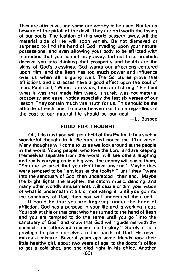They are attractive, and some are worthy to be used. But let us beware of the pitfall of the devil. They are not worth the losing of our souls. The fashion of this world passeth away. All the material side of life will soon vanish. Be not dismayed or surprised to find the hand of God invading upon your natural possessions, and even allowing your body to be afflicted with infirmities that you cannot pray away. Let not false prophets deceive you into thinking that prosperity and health are the signs of God's blessings. God wants our affections centered upon Him, and the flesh has too much power and influence over us when all is going well. The Scriptures prove that afflictions and distresses have a good effect upon the soul of man. Paul said, 'When I am weak, then am I strong." Find out what it was that made him weak. It surely was not material prosperity and ease. Notice especially the last six verses of our lesson. They contain m uch vital truth for us. This should be the attitude of each one. To make heaven our home regardless of the cost to our natural life should be our goal.

-L. Busbee

#### FOOD FOR THOUGHT

Oh, I do trust you will get ahold of this Psalm! It has such a wonderful thought in it. Be sure and notice the 17th verse. Many thoughts will come to us as we look around at the people in the world. Young people, who love the Lord, a nd are keeping themselves separate from the world, will see others laughing and really carrying on in a big way. The enemy will say to them, "You are so strict that you don't have any fun." Maybe they were tempted to be "envious at the foolish," until they "went into the sanctuary of God; then understood I their end." Maybe the bright lights, the laughter, the catchy music, dancing, and many other worldly amusements will dazzle or dim your vision of what is underneath it all, or motivating it, until you go into the sanctuary of God; then you will· understand their end.

It could be that you are lingering under the hand of affliction. God has a purpose in your life and is working it out. You look at this or that one, who has turned to the hand of flesh and you are tempted to do the same until you go "into the sanctuary of God" and know that God will "guide me with thy counsel, and afterward receive me to glory." Surely it is a privilege to place ourselves in the hands of God. He never makes a mistake. Several years ago some friends took their little healthy girl, about two years of age, to the doctor's office to get a cold shot, and she died right in his office. Another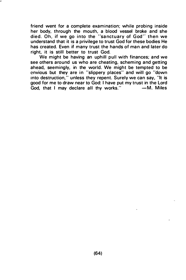friend went for a complete examination; while probing inside her body, through the mouth, a blood vessel broke and she died. Oh, if we go into the "sanctuary of God" then we understand that it is a privilege to trust God for these bodies He has created. Even if many trust the hands of man and later do right, it is still better to trust God.

We might be having an uphill pull with finances; and we see others around us who are cheating, scheming and getting ahead, seemingly, in the world. We might be tempted to be envious but they are in "slippery places" and will go "down into destruction," unless they repent. Surely we can say, "It is good for me to draw near to God: I have put my trust in the Lord<br>God that I may declare all thy works." -- M. Miles  $\overline{G}$ od, that I may declare all thy works."